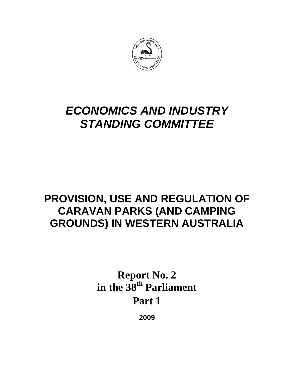

# *ECONOMICS AND INDUSTRY STANDING COMMITTEE*

## **PROVISION, USE AND REGULATION OF CARAVAN PARKS (AND CAMPING GROUNDS) IN WESTERN AUSTRALIA**

# **Report No. 2**  in the 38<sup>th</sup> Parliament **Part 1**

**2009**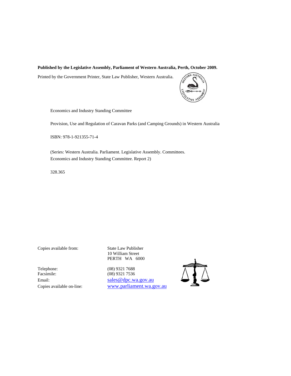#### **Published by the Legislative Assembly, Parliament of Western Australia, Perth, October 2009.**

Printed by the Government Printer, State Law Publisher, Western Australia.



Economics and Industry Standing Committee

Provision, Use and Regulation of Caravan Parks (and Camping Grounds) in Western Australia

ISBN: 978-1-921355-71-4

(Series: Western Australia. Parliament. Legislative Assembly. Committees. Economics and Industry Standing Committee. Report 2)

328.365

Telephone: (08) 9321 7688 Facsimile: (08) 9321 7536

Copies available from: State Law Publisher 10 William Street PERTH WA 6000

Email: sales @dpc.wa.gov.au Copies available on-line: www.parliament.wa.gov.au

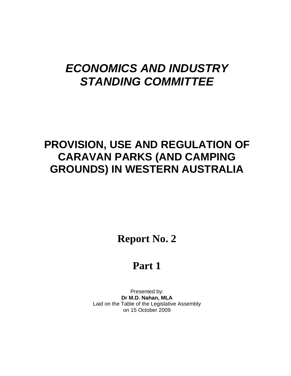# *ECONOMICS AND INDUSTRY STANDING COMMITTEE*

## **PROVISION, USE AND REGULATION OF CARAVAN PARKS (AND CAMPING GROUNDS) IN WESTERN AUSTRALIA**

**Report No. 2** 

## **Part 1**

Presented by: **Dr M.D. Nahan, MLA**  Laid on the Table of the Legislative Assembly on 15 October 2009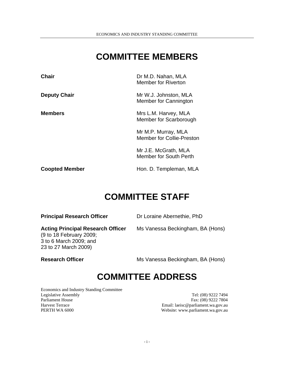### **COMMITTEE MEMBERS**

| <b>Chair</b>          | Dr M.D. Nahan, MLA<br>Member for Riverton               |
|-----------------------|---------------------------------------------------------|
| <b>Deputy Chair</b>   | Mr W.J. Johnston, MLA<br>Member for Cannington          |
| <b>Members</b>        | Mrs L.M. Harvey, MLA<br>Member for Scarborough          |
|                       | Mr M.P. Murray, MLA<br><b>Member for Collie-Preston</b> |
|                       | Mr J.E. McGrath, MLA<br><b>Member for South Perth</b>   |
| <b>Coopted Member</b> | Hon. D. Templeman, MLA                                  |

#### **COMMITTEE STAFF**

| <b>Principal Research Officer</b>                                                                                     | Dr Loraine Abernethie, PhD       |  |
|-----------------------------------------------------------------------------------------------------------------------|----------------------------------|--|
| <b>Acting Principal Research Officer</b><br>(9 to 18 February 2009;<br>3 to 6 March 2009; and<br>23 to 27 March 2009) | Ms Vanessa Beckingham, BA (Hons) |  |
| <b>Research Officer</b>                                                                                               | Ms Vanessa Beckingham, BA (Hons) |  |

#### **COMMITTEE ADDRESS**

Economics and Industry Standing Committee Legislative Assembly Tel: (08) 9222 7494 Parliament House Fax: (08) 9222 7804<br>
Harvest Terrace Fax: (08) 9222 7804<br>
Email: laeisc@parliament.wa.gov.au Harvest Terrace Email: laeisc@parliament.wa.gov.au

Website: www.parliament.wa.gov.au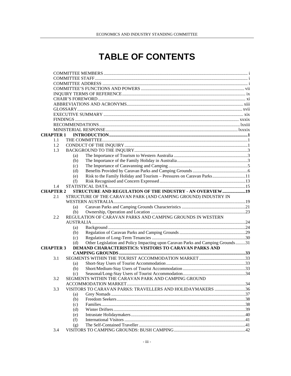## **TABLE OF CONTENTS**

| <b>CHAPTER 1</b> |     |                                                                                 |  |
|------------------|-----|---------------------------------------------------------------------------------|--|
| 1.1              |     |                                                                                 |  |
| 1.2              |     |                                                                                 |  |
| 1.3              |     |                                                                                 |  |
|                  | (a) |                                                                                 |  |
|                  | (b) |                                                                                 |  |
|                  |     |                                                                                 |  |
|                  | (c) |                                                                                 |  |
|                  | (d) |                                                                                 |  |
|                  | (e) | Risk to the Family Holiday and Tourism - Pressures on Caravan Parks11           |  |
|                  | (f) |                                                                                 |  |
| 1.4              |     |                                                                                 |  |
| <b>CHAPTER 2</b> |     | STRUCTURE AND REGULATION OF THE INDUSTRY - AN OVERVIEW  19                      |  |
| 2.1              |     | STRUCTURE OF THE CARAVAN PARK (AND CAMPING GROUND) INDUSTRY IN                  |  |
|                  |     |                                                                                 |  |
|                  | (a) |                                                                                 |  |
|                  | (b) |                                                                                 |  |
| 2.2              |     | REGULATION OF CARAVAN PARKS AND CAMPING GROUNDS IN WESTERN                      |  |
|                  |     |                                                                                 |  |
|                  | (a) |                                                                                 |  |
|                  | (b) |                                                                                 |  |
|                  | (c) |                                                                                 |  |
|                  | (d) | Other Legislation and Policy Impacting upon Caravan Parks and Camping Grounds31 |  |
| <b>CHAPTER 3</b> |     | DEMAND CHARACTERISTICS: VISITORS TO CARAVAN PARKS AND                           |  |
|                  |     |                                                                                 |  |
| 3.1              |     |                                                                                 |  |
|                  | (a) |                                                                                 |  |
|                  | (b) |                                                                                 |  |
|                  | (c) |                                                                                 |  |
| 3.2              |     | SEGMENTS WITHIN THE CARAVAN PARK AND CAMPING GROUND                             |  |
|                  |     |                                                                                 |  |
| 3.3              |     | VISITORS TO CARAVAN PARKS: TRAVELLERS AND HOLIDAYMAKERS 36                      |  |
|                  | (a) |                                                                                 |  |
|                  | (b) |                                                                                 |  |
|                  | (c) |                                                                                 |  |
|                  | (d) |                                                                                 |  |
|                  | (e) |                                                                                 |  |
|                  | (f) |                                                                                 |  |
|                  | (g) |                                                                                 |  |
| 3.4              |     |                                                                                 |  |
|                  |     |                                                                                 |  |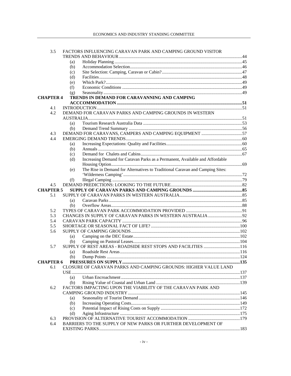| 3.5              | FACTORS INFLUENCING CARAVAN PARK AND CAMPING GROUND VISITOR                          |  |
|------------------|--------------------------------------------------------------------------------------|--|
|                  |                                                                                      |  |
|                  | (a)                                                                                  |  |
|                  | (b)                                                                                  |  |
|                  | (c)                                                                                  |  |
|                  | (d)                                                                                  |  |
|                  | (e)                                                                                  |  |
|                  | (f)                                                                                  |  |
|                  | (g)                                                                                  |  |
| <b>CHAPTER 4</b> | TRENDS IN DEMAND FOR CARAVANNING AND CAMPING                                         |  |
|                  |                                                                                      |  |
| 4.1              |                                                                                      |  |
| 4.2              | DEMAND FOR CARAVAN PARKS AND CAMPING GROUNDS IN WESTERN                              |  |
|                  |                                                                                      |  |
|                  | (a)                                                                                  |  |
|                  | (b)                                                                                  |  |
| 4.3              |                                                                                      |  |
| 4.4              |                                                                                      |  |
|                  | (a)                                                                                  |  |
|                  | (b)                                                                                  |  |
|                  | (c)                                                                                  |  |
|                  | Increasing Demand for Caravan Parks as a Permanent, Available and Affordable<br>(d)  |  |
|                  |                                                                                      |  |
|                  | The Rise in Demand for Alternatives to Traditional Caravan and Camping Sites:<br>(e) |  |
|                  |                                                                                      |  |
|                  | (f)                                                                                  |  |
| 4.5              |                                                                                      |  |
| <b>CHAPTER 5</b> |                                                                                      |  |
| 5.1              |                                                                                      |  |
|                  | (a)                                                                                  |  |
|                  | (b)                                                                                  |  |
| 5.2              |                                                                                      |  |
| 5.3              |                                                                                      |  |
| 5.4              |                                                                                      |  |
| 5.5              |                                                                                      |  |
| 5.6              |                                                                                      |  |
|                  | (a)                                                                                  |  |
|                  |                                                                                      |  |
| 5.7              |                                                                                      |  |
|                  | (a)                                                                                  |  |
|                  | (b)                                                                                  |  |
| <b>CHAPTER 6</b> |                                                                                      |  |
| 6.1              | CLOSURE OF CARAVAN PARKS AND CAMPING GROUNDS: HIGHER VALUE LAND                      |  |
|                  |                                                                                      |  |
|                  | (a)                                                                                  |  |
|                  | (b)                                                                                  |  |
| 6.2              | FACTORS IMPACTING UPON THE VIABILITY OF THE CARAVAN PARK AND                         |  |
|                  |                                                                                      |  |
|                  |                                                                                      |  |
|                  | (a)<br>(b)                                                                           |  |
|                  |                                                                                      |  |
|                  | (c)                                                                                  |  |
| 6.3              | (d)                                                                                  |  |
| 6.4              | BARRIERS TO THE SUPPLY OF NEW PARKS OR FURTHER DEVELOPMENT OF                        |  |
|                  |                                                                                      |  |
|                  |                                                                                      |  |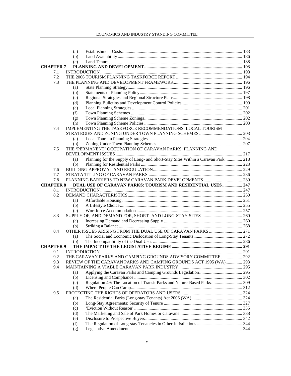#### ECONOMICS AND INDUSTRY STANDING COMMITTEE

|                  | (a)        |                                                                                  |  |
|------------------|------------|----------------------------------------------------------------------------------|--|
|                  | (b)        |                                                                                  |  |
|                  | (c)        |                                                                                  |  |
| <b>CHAPTER 7</b> |            |                                                                                  |  |
| 7.1              |            |                                                                                  |  |
| 7.2              |            |                                                                                  |  |
| 7.3              |            |                                                                                  |  |
|                  | (a)        |                                                                                  |  |
|                  | (b)        |                                                                                  |  |
|                  | (c)        |                                                                                  |  |
|                  | (d)        |                                                                                  |  |
|                  | (e)        |                                                                                  |  |
|                  | (f)        |                                                                                  |  |
|                  | (g)        |                                                                                  |  |
|                  | (h)        |                                                                                  |  |
| 7.4              |            | IMPLEMENTING THE TASKFORCE RECOMMENDATIONS: LOCAL TOURISM                        |  |
|                  |            |                                                                                  |  |
|                  | (a)        |                                                                                  |  |
|                  | (b)        |                                                                                  |  |
| 7.5              |            | THE 'PERMANENT' OCCUPATION OF CARAVAN PARKS: PLANNING AND                        |  |
|                  |            |                                                                                  |  |
|                  | (a)        | Planning for the Supply of Long- and Short-Stay Sites Within a Caravan Park  218 |  |
|                  | (b)        |                                                                                  |  |
| 7.6              |            |                                                                                  |  |
| 7.7<br>7.8       |            |                                                                                  |  |
| <b>CHAPTER 8</b> |            | DUAL USE OF CARAVAN PARKS: TOURISM AND RESIDENTIAL USES  247                     |  |
| 8.1              |            |                                                                                  |  |
| 8.2              |            |                                                                                  |  |
|                  | (a)        |                                                                                  |  |
|                  | (b)        |                                                                                  |  |
|                  | (c)        |                                                                                  |  |
| 8.3              |            |                                                                                  |  |
|                  | (a)        |                                                                                  |  |
|                  | (b)        |                                                                                  |  |
| 8.4              |            |                                                                                  |  |
|                  | (a)        |                                                                                  |  |
|                  | (b)        |                                                                                  |  |
| <b>CHAPTER 9</b> |            |                                                                                  |  |
| 9.1              |            |                                                                                  |  |
| 9.2              |            | THE CARAVAN PARKS AND CAMPING GROUNDS ADVISORY COMMITTEE  292                    |  |
| 9.3              |            | REVIEW OF THE CARAVAN PARKS AND CAMPING GROUNDS ACT 1995 (WA) 293                |  |
| 9.4              |            |                                                                                  |  |
|                  | (a)        |                                                                                  |  |
|                  | (b)        |                                                                                  |  |
|                  | (c)        | Regulation 49: The Location of Transit Parks and Nature-Based Parks 309          |  |
|                  | (d)        |                                                                                  |  |
| 9.5              |            |                                                                                  |  |
|                  | (a)<br>(b) |                                                                                  |  |
|                  | (c)        |                                                                                  |  |
|                  | (d)        |                                                                                  |  |
|                  | (e)        |                                                                                  |  |
|                  | (f)        |                                                                                  |  |
|                  | (g)        |                                                                                  |  |
|                  |            |                                                                                  |  |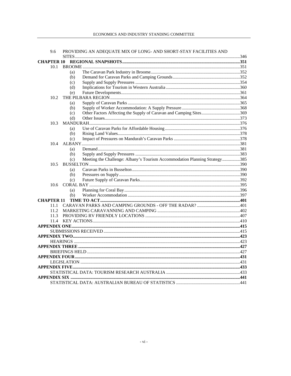| 9.6               | PROVIDING AN ADEQUATE MIX OF LONG- AND SHORT-STAY FACILITIES AND                  |  |
|-------------------|-----------------------------------------------------------------------------------|--|
|                   |                                                                                   |  |
| <b>CHAPTER 10</b> |                                                                                   |  |
| 10.1              |                                                                                   |  |
|                   | (a)                                                                               |  |
|                   | (b)                                                                               |  |
|                   | (c)                                                                               |  |
|                   | (d)                                                                               |  |
|                   | (e)                                                                               |  |
| 10.2              |                                                                                   |  |
|                   | (a)                                                                               |  |
|                   | (b)                                                                               |  |
|                   | (c)                                                                               |  |
|                   | (d)                                                                               |  |
| 10.3              |                                                                                   |  |
|                   | (a)                                                                               |  |
|                   | (b)                                                                               |  |
|                   | (c)                                                                               |  |
| 10.4              |                                                                                   |  |
|                   | (a)                                                                               |  |
|                   | (b)                                                                               |  |
|                   | Meeting the Challenge: Albany's Tourism Accommodation Planning Strategy385<br>(c) |  |
| 10.5              |                                                                                   |  |
|                   | (a)                                                                               |  |
|                   | (b)                                                                               |  |
|                   | (c)                                                                               |  |
| 10.6              |                                                                                   |  |
|                   | (a)                                                                               |  |
|                   | (b)                                                                               |  |
| <b>CHAPTER 11</b> |                                                                                   |  |
| 11.1              |                                                                                   |  |
| 11.2              |                                                                                   |  |
| 11.3              |                                                                                   |  |
| 11.4              |                                                                                   |  |
|                   |                                                                                   |  |
|                   |                                                                                   |  |
|                   |                                                                                   |  |
|                   |                                                                                   |  |
|                   |                                                                                   |  |
|                   |                                                                                   |  |
|                   |                                                                                   |  |
|                   |                                                                                   |  |
|                   |                                                                                   |  |
|                   |                                                                                   |  |
|                   |                                                                                   |  |
|                   |                                                                                   |  |
|                   |                                                                                   |  |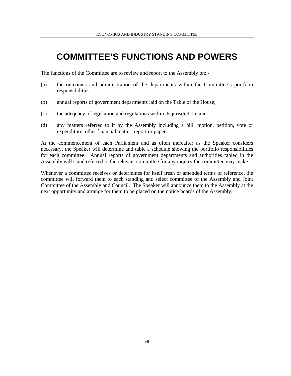### **COMMITTEE'S FUNCTIONS AND POWERS**

The functions of the Committee are to review and report to the Assembly on: -

- (a) the outcomes and administration of the departments within the Committee's portfolio responsibilities;
- (b) annual reports of government departments laid on the Table of the House;
- (c) the adequacy of legislation and regulations within its jurisdiction; and
- (d) any matters referred to it by the Assembly including a bill, motion, petition, vote or expenditure, other financial matter, report or paper.

At the commencement of each Parliament and as often thereafter as the Speaker considers necessary, the Speaker will determine and table a schedule showing the portfolio responsibilities for each committee. Annual reports of government departments and authorities tabled in the Assembly will stand referred to the relevant committee for any inquiry the committee may make.

Whenever a committee receives or determines for itself fresh or amended terms of reference, the committee will forward them to each standing and select committee of the Assembly and Joint Committee of the Assembly and Council. The Speaker will announce them to the Assembly at the next opportunity and arrange for them to be placed on the notice boards of the Assembly.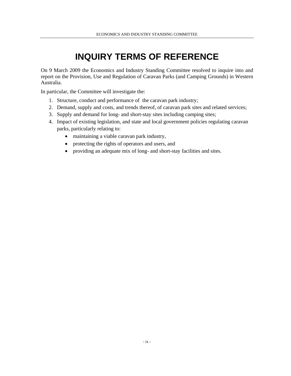## **INQUIRY TERMS OF REFERENCE**

On 9 March 2009 the Economics and Industry Standing Committee resolved to inquire into and report on the Provision, Use and Regulation of Caravan Parks (and Camping Grounds) in Western Australia.

In particular, the Committee will investigate the:

- 1. Structure, conduct and performance of the caravan park industry;
- 2. Demand, supply and costs, and trends thereof, of caravan park sites and related services;
- 3. Supply and demand for long- and short-stay sites including camping sites;
- 4. Impact of existing legislation, and state and local government policies regulating caravan parks, particularly relating to:
	- maintaining a viable caravan park industry,
	- protecting the rights of operators and users, and
	- providing an adequate mix of long- and short-stay facilities and sites.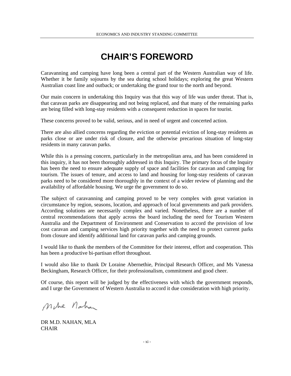#### **CHAIR'S FOREWORD**

Caravanning and camping have long been a central part of the Western Australian way of life. Whether it be family sojourns by the sea during school holidays; exploring the great Western Australian coast line and outback; or undertaking the grand tour to the north and beyond.

Our main concern in undertaking this Inquiry was that this way of life was under threat. That is, that caravan parks are disappearing and not being replaced, and that many of the remaining parks are being filled with long-stay residents with a consequent reduction in spaces for tourist.

These concerns proved to be valid, serious, and in need of urgent and concerted action.

There are also allied concerns regarding the eviction or potential eviction of long-stay residents as parks close or are under risk of closure, and the otherwise precarious situation of long-stay residents in many caravan parks.

While this is a pressing concern, particularly in the metropolitan area, and has been considered in this inquiry, it has not been thoroughly addressed in this Inquiry. The primary focus of the Inquiry has been the need to ensure adequate supply of space and facilities for caravan and camping for tourism. The issues of tenure, and access to land and housing for long-stay residents of caravan parks need to be considered more thoroughly in the context of a wider review of planning and the availability of affordable housing. We urge the government to do so.

The subject of caravanning and camping proved to be very complex with great variation in circumstance by region, seasons, location, and approach of local governments and park providers. According solutions are necessarily complex and varied. Nonetheless, there are a number of central recommendations that apply across the board including the need for Tourism Western Australia and the Department of Environment and Conservation to accord the provision of low cost caravan and camping services high priority together with the need to protect current parks from closure and identify additional land for caravan parks and camping grounds.

I would like to thank the members of the Committee for their interest, effort and cooperation. This has been a productive bi-partisan effort throughout.

I would also like to thank Dr Loraine Abernethie, Principal Research Officer, and Ms Vanessa Beckingham, Research Officer, for their professionalism, commitment and good cheer.

Of course, this report will be judged by the effectiveness with which the government responds, and I urge the Government of Western Australia to accord it due consideration with high priority.

Mehe Nahan

DR M.D. NAHAN, MLA **CHAIR**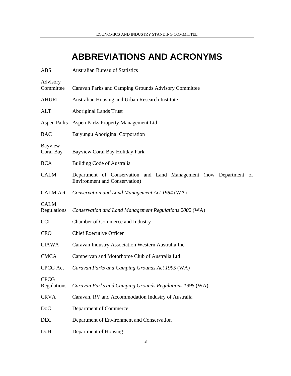### **ABBREVIATIONS AND ACRONYMS**

| <b>ABS</b>                 | <b>Australian Bureau of Statistics</b>                                                                     |
|----------------------------|------------------------------------------------------------------------------------------------------------|
| Advisory<br>Committee      | Caravan Parks and Camping Grounds Advisory Committee                                                       |
| <b>AHURI</b>               | Australian Housing and Urban Research Institute                                                            |
| <b>ALT</b>                 | <b>Aboriginal Lands Trust</b>                                                                              |
|                            | Aspen Parks Aspen Parks Property Management Ltd                                                            |
| <b>BAC</b>                 | Baiyungu Aboriginal Corporation                                                                            |
| Bayview<br>Coral Bay       | Bayview Coral Bay Holiday Park                                                                             |
| <b>BCA</b>                 | <b>Building Code of Australia</b>                                                                          |
| <b>CALM</b>                | Department of Conservation and Land Management (now Department of<br><b>Environment and Conservation</b> ) |
| <b>CALM</b> Act            | Conservation and Land Management Act 1984 (WA)                                                             |
| <b>CALM</b><br>Regulations | Conservation and Land Management Regulations 2002 (WA)                                                     |
| <b>CCI</b>                 | Chamber of Commerce and Industry                                                                           |
| <b>CEO</b>                 | <b>Chief Executive Officer</b>                                                                             |
| <b>CIAWA</b>               | Caravan Industry Association Western Australia Inc.                                                        |
| <b>CMCA</b>                | Campervan and Motorhome Club of Australia Ltd                                                              |
| <b>CPCG</b> Act            | Caravan Parks and Camping Grounds Act 1995 (WA)                                                            |
| CPCG<br>Regulations        | Caravan Parks and Camping Grounds Regulations 1995 (WA)                                                    |
| <b>CRVA</b>                | Caravan, RV and Accommodation Industry of Australia                                                        |
| D <sub>o</sub> C           | Department of Commerce                                                                                     |
| DEC                        | Department of Environment and Conservation                                                                 |
| DoH                        | Department of Housing                                                                                      |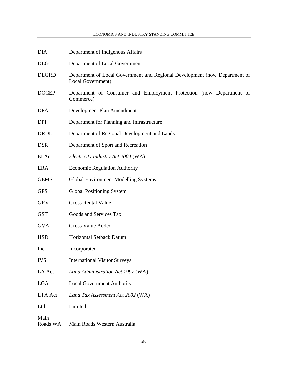| <b>DIA</b>       | Department of Indigenous Affairs                                                                |  |  |
|------------------|-------------------------------------------------------------------------------------------------|--|--|
| <b>DLG</b>       | Department of Local Government                                                                  |  |  |
| <b>DLGRD</b>     | Department of Local Government and Regional Development (now Department of<br>Local Government) |  |  |
| <b>DOCEP</b>     | Department of Consumer and Employment Protection (now Department of<br>Commerce)                |  |  |
| <b>DPA</b>       | Development Plan Amendment                                                                      |  |  |
| <b>DPI</b>       | Department for Planning and Infrastructure                                                      |  |  |
| <b>DRDL</b>      | Department of Regional Development and Lands                                                    |  |  |
| <b>DSR</b>       | Department of Sport and Recreation                                                              |  |  |
| EI Act           | Electricity Industry Act 2004 (WA)                                                              |  |  |
| <b>ERA</b>       | <b>Economic Regulation Authority</b>                                                            |  |  |
| <b>GEMS</b>      | Global Environment Modelling Systems                                                            |  |  |
| <b>GPS</b>       | <b>Global Positioning System</b>                                                                |  |  |
| <b>GRV</b>       | <b>Gross Rental Value</b>                                                                       |  |  |
| <b>GST</b>       | Goods and Services Tax                                                                          |  |  |
| <b>GVA</b>       | Gross Value Added                                                                               |  |  |
| <b>HSD</b>       | Horizontal Setback Datum                                                                        |  |  |
| Inc.             | Incorporated                                                                                    |  |  |
| <b>IVS</b>       | <b>International Visitor Surveys</b>                                                            |  |  |
| LA Act           | Land Administration Act 1997 (WA)                                                               |  |  |
| <b>LGA</b>       | <b>Local Government Authority</b>                                                               |  |  |
| LTA Act          | Land Tax Assessment Act 2002 (WA)                                                               |  |  |
| Ltd              | Limited                                                                                         |  |  |
| Main<br>Roads WA | Main Roads Western Australia                                                                    |  |  |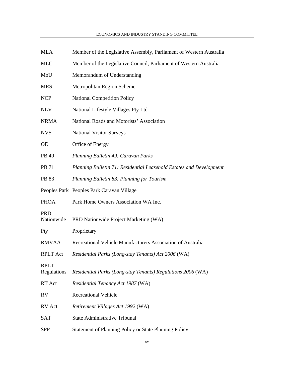- MLA Member of the Legislative Assembly, Parliament of Western Australia
- MLC Member of the Legislative Council, Parliament of Western Australia
- MoU Memorandum of Understanding
- MRS Metropolitan Region Scheme
- NCP National Competition Policy
- NLV National Lifestyle Villages Pty Ltd
- NRMA National Roads and Motorists' Association
- NVS National Visitor Surveys
- OE Office of Energy
- PB 49 *Planning Bulletin 49: Caravan Parks*
- PB 71 *Planning Bulletin 71: Residential Leasehold Estates and Development*
- PB 83 *Planning Bulletin 83: Planning for Tourism*
- Peoples Park Peoples Park Caravan Village
- PHOA Park Home Owners Association WA Inc.

#### PRD

|             | Nationwide PRD Nationwide Project Marketing (WA)            |
|-------------|-------------------------------------------------------------|
| Pty         | Proprietary                                                 |
| RMVAA       | Recreational Vehicle Manufacturers Association of Australia |
| RPLT Act    | Residential Parks (Long-stay Tenants) Act 2006 (WA)         |
| <b>RPLT</b> |                                                             |

- Regulations *Residential Parks (Long-stay Tenants) Regulations 2006* (WA)
- RT Act *Residential Tenancy Act 1987* (WA)
- RV Recreational Vehicle
- RV Act *Retirement Villages Act 1992* (WA)
- SAT State Administrative Tribunal
- SPP Statement of Planning Policy or State Planning Policy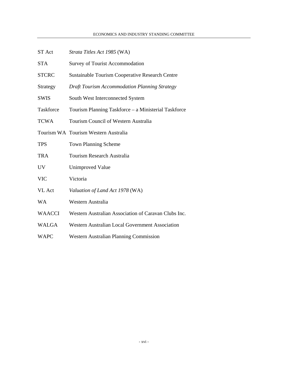ST Act *Strata Titles Act 1985* (WA)

| <b>STA</b>    | <b>Survey of Tourist Accommodation</b>                 |
|---------------|--------------------------------------------------------|
| <b>STCRC</b>  | <b>Sustainable Tourism Cooperative Research Centre</b> |
| Strategy      | <b>Draft Tourism Accommodation Planning Strategy</b>   |
| <b>SWIS</b>   | South West Interconnected System                       |
| Taskforce     | Tourism Planning Taskforce - a Ministerial Taskforce   |
| <b>TCWA</b>   | Tourism Council of Western Australia                   |
|               | Tourism WA Tourism Western Australia                   |
| <b>TPS</b>    | <b>Town Planning Scheme</b>                            |
| <b>TRA</b>    | Tourism Research Australia                             |
| <b>UV</b>     | Unimproved Value                                       |
| <b>VIC</b>    | Victoria                                               |
| <b>VL</b> Act | Valuation of Land Act 1978 (WA)                        |
| WA            | Western Australia                                      |
| <b>WAACCI</b> | Western Australian Association of Caravan Clubs Inc.   |
| <b>WALGA</b>  | Western Australian Local Government Association        |
| <b>WAPC</b>   | Western Australian Planning Commission                 |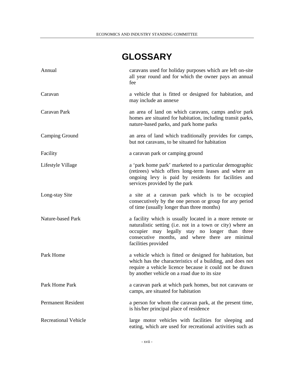## **GLOSSARY**

| Annual                      | caravans used for holiday purposes which are left on-site<br>all year round and for which the owner pays an annual<br>fee                                                                                                                         |
|-----------------------------|---------------------------------------------------------------------------------------------------------------------------------------------------------------------------------------------------------------------------------------------------|
| Caravan                     | a vehicle that is fitted or designed for habitation, and<br>may include an annexe                                                                                                                                                                 |
| Caravan Park                | an area of land on which caravans, camps and/or park<br>homes are situated for habitation, including transit parks,<br>nature-based parks, and park home parks                                                                                    |
| <b>Camping Ground</b>       | an area of land which traditionally provides for camps,<br>but not caravans, to be situated for habitation                                                                                                                                        |
| Facility                    | a caravan park or camping ground                                                                                                                                                                                                                  |
| Lifestyle Village           | a 'park home park' marketed to a particular demographic<br>(retirees) which offers long-term leases and where an<br>ongoing levy is paid by residents for facilities and<br>services provided by the park                                         |
| Long-stay Site              | a site at a caravan park which is to be occupied<br>consecutively by the one person or group for any period<br>of time (usually longer than three months)                                                                                         |
| Nature-based Park           | a facility which is usually located in a more remote or<br>naturalistic setting (i.e. not in a town or city) where an<br>occupier may legally stay no longer than three<br>consecutive months, and where there are minimal<br>facilities provided |
| Park Home                   | a vehicle which is fitted or designed for habitation, but<br>which has the characteristics of a building, and does not<br>require a vehicle licence because it could not be drawn<br>by another vehicle on a road due to its size                 |
| Park Home Park              | a caravan park at which park homes, but not caravans or<br>camps, are situated for habitation                                                                                                                                                     |
| <b>Permanent Resident</b>   | a person for whom the caravan park, at the present time,<br>is his/her principal place of residence                                                                                                                                               |
| <b>Recreational Vehicle</b> | large motor vehicles with facilities for sleeping and<br>eating, which are used for recreational activities such as                                                                                                                               |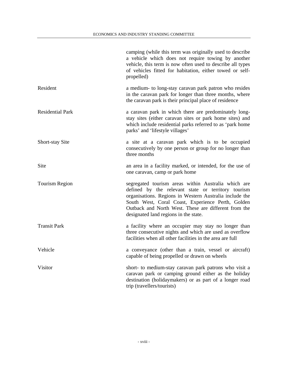|                         | camping (while this term was originally used to describe<br>a vehicle which does not require towing by another<br>vehicle, this term is now often used to describe all types<br>of vehicles fitted for habitation, either towed or self-<br>propelled)                                                                     |
|-------------------------|----------------------------------------------------------------------------------------------------------------------------------------------------------------------------------------------------------------------------------------------------------------------------------------------------------------------------|
| Resident                | a medium- to long-stay caravan park patron who resides<br>in the caravan park for longer than three months, where<br>the caravan park is their principal place of residence                                                                                                                                                |
| <b>Residential Park</b> | a caravan park in which there are predominately long-<br>stay sites (either caravan sites or park home sites) and<br>which include residential parks referred to as 'park home<br>parks' and 'lifestyle villages'                                                                                                          |
| Short-stay Site         | a site at a caravan park which is to be occupied<br>consecutively by one person or group for no longer than<br>three months                                                                                                                                                                                                |
| Site                    | an area in a facility marked, or intended, for the use of<br>one caravan, camp or park home                                                                                                                                                                                                                                |
| <b>Tourism Region</b>   | segregated tourism areas within Australia which are<br>defined by the relevant state or territory tourism<br>organisations. Regions in Western Australia include the<br>South West, Coral Coast, Experience Perth, Golden<br>Outback and North West. These are different from the<br>designated land regions in the state. |
| <b>Transit Park</b>     | a facility where an occupier may stay no longer than<br>three consecutive nights and which are used as overflow<br>facilities when all other facilities in the area are full                                                                                                                                               |
| Vehicle                 | a conveyance (other than a train, vessel or aircraft)<br>capable of being propelled or drawn on wheels                                                                                                                                                                                                                     |
| Visitor                 | short- to medium-stay caravan park patrons who visit a<br>caravan park or camping ground either as the holiday<br>destination (holidaymakers) or as part of a longer road<br>trip (travellers/tourists)                                                                                                                    |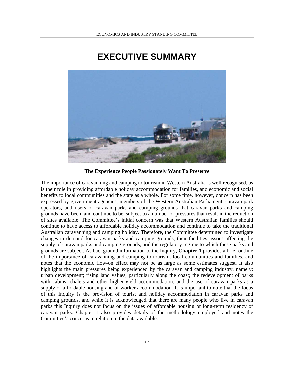### **EXECUTIVE SUMMARY**



**The Experience People Passionately Want To Preserve** 

The importance of caravanning and camping to tourism in Western Australia is well recognised, as is their role in providing affordable holiday accommodation for families, and economic and social benefits to local communities and the state as a whole. For some time, however, concern has been expressed by government agencies, members of the Western Australian Parliament, caravan park operators, and users of caravan parks and camping grounds that caravan parks and camping grounds have been, and continue to be, subject to a number of pressures that result in the reduction of sites available. The Committee's initial concern was that Western Australian families should continue to have access to affordable holiday accommodation and continue to take the traditional Australian caravanning and camping holiday. Therefore, the Committee determined to investigate changes in demand for caravan parks and camping grounds, their facilities, issues affecting the supply of caravan parks and camping grounds, and the regulatory regime to which these parks and grounds are subject. As background information to the Inquiry, **Chapter 1** provides a brief outline of the importance of caravanning and camping to tourism, local communities and families, and notes that the economic flow-on effect may not be as large as some estimates suggest. It also highlights the main pressures being experienced by the caravan and camping industry, namely: urban development; rising land values, particularly along the coast; the redevelopment of parks with cabins, chalets and other higher-yield accommodation; and the use of caravan parks as a supply of affordable housing and of worker accommodation. It is important to note that the focus of this Inquiry is the provision of tourist and holiday accommodation in caravan parks and camping grounds, and while it is acknowledged that there are many people who live in caravan parks this Inquiry does not focus on the issues of affordable housing or long-term residency of caravan parks. Chapter 1 also provides details of the methodology employed and notes the Committee's concerns in relation to the data available.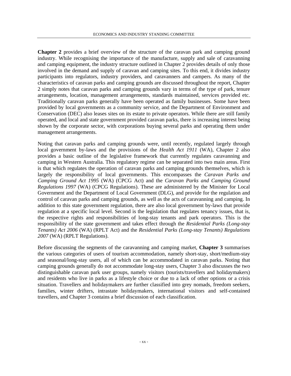**Chapter 2** provides a brief overview of the structure of the caravan park and camping ground industry. While recognising the importance of the manufacture, supply and sale of caravanning and camping equipment, the industry structure outlined in Chapter 2 provides details of only those involved in the demand and supply of caravan and camping sites. To this end, it divides industry participants into regulators, industry providers, and caravanners and campers. As many of the characteristics of caravan parks and camping grounds are discussed throughout the report, Chapter 2 simply notes that caravan parks and camping grounds vary in terms of the type of park, tenure arrangements, location, management arrangements, standards maintained, services provided etc. Traditionally caravan parks generally have been operated as family businesses. Some have been provided by local governments as a community service, and the Department of Environment and Conservation (DEC) also leases sites on its estate to private operators. While there are still family operated, and local and state government provided caravan parks, there is increasing interest being shown by the corporate sector, with corporations buying several parks and operating them under management arrangements.

Noting that caravan parks and camping grounds were, until recently, regulated largely through local government by-laws and the provisions of the *Health Act 1911* (WA), Chapter 2 also provides a basic outline of the legislative framework that currently regulates caravanning and camping in Western Australia. This regulatory regime can be separated into two main areas. First is that which regulates the operation of caravan parks and camping grounds themselves, which is largely the responsibility of local governments. This encompasses the *Caravan Parks and Camping Ground Act 1995* (WA) (CPCG Act) and the *Caravan Parks and Camping Ground Regulations 1997* (WA) (CPCG Regulations). These are administered by the Minister for Local Government and the Department of Local Government (DLG), and provide for the regulation and control of caravan parks and camping grounds, as well as the acts of caravanning and camping. In addition to this state government regulation, there are also local government by-laws that provide regulation at a specific local level. Second is the legislation that regulates tenancy issues, that is, the respective rights and responsibilities of long-stay tenants and park operators. This is the responsibility of the state government and takes effect through the *Residential Parks (Long-stay Tenants) Act 2006* (WA) (RPLT Act) and the *Residential Parks (Long-stay Tenants) Regulations 2007* (WA) (RPLT Regulations).

Before discussing the segments of the caravanning and camping market, **Chapter 3** summarises the various categories of users of tourism accommodation, namely short-stay, short/medium-stay and seasonal/long-stay users, all of which can be accommodated in caravan parks. Noting that camping grounds generally do not accommodate long-stay users, Chapter 3 also discusses the two distinguishable caravan park user groups, namely visitors (tourists/travellers and holidaymakers) and residents who live in parks as a lifestyle choice or due to a lack of other options or a crisis situation. Travellers and holidaymakers are further classified into grey nomads, freedom seekers, families, winter drifters, intrastate holidaymakers, international visitors and self-contained travellers, and Chapter 3 contains a brief discussion of each classification.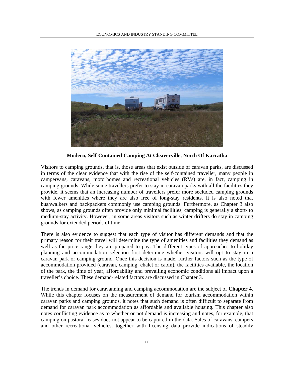

**Modern, Self-Contained Camping At Cleaverville, North Of Karratha** 

Visitors to camping grounds, that is, those areas that exist outside of caravan parks, are discussed in terms of the clear evidence that with the rise of the self-contained traveller, many people in campervans, caravans, motorhomes and recreational vehicles (RVs) are, in fact, camping in camping grounds. While some travellers prefer to stay in caravan parks with all the facilities they provide, it seems that an increasing number of travellers prefer more secluded camping grounds with fewer amenities where they are also free of long-stay residents. It is also noted that bushwalkers and backpackers commonly use camping grounds. Furthermore, as Chapter 3 also shows, as camping grounds often provide only minimal facilities, camping is generally a short- to medium-stay activity. However, in some areas visitors such as winter drifters do stay in camping grounds for extended periods of time.

There is also evidence to suggest that each type of visitor has different demands and that the primary reason for their travel will determine the type of amenities and facilities they demand as well as the price range they are prepared to pay. The different types of approaches to holiday planning and accommodation selection first determine whether visitors will opt to stay in a caravan park or camping ground. Once this decision is made, further factors such as the type of accommodation provided (caravan, camping, chalet or cabin), the facilities available, the location of the park, the time of year, affordability and prevailing economic conditions all impact upon a traveller's choice. These demand-related factors are discussed in Chapter 3.

The trends in demand for caravanning and camping accommodation are the subject of **Chapter 4**. While this chapter focuses on the measurement of demand for tourism accommodation within caravan parks and camping grounds, it notes that such demand is often difficult to separate from demand for caravan park accommodation as affordable and available housing. This chapter also notes conflicting evidence as to whether or not demand is increasing and notes, for example, that camping on pastoral leases does not appear to be captured in the data. Sales of caravans, campers and other recreational vehicles, together with licensing data provide indications of steadily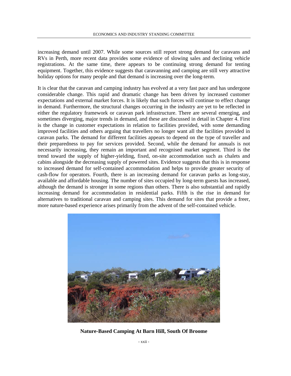increasing demand until 2007. While some sources still report strong demand for caravans and RVs in Perth, more recent data provides some evidence of slowing sales and declining vehicle registrations. At the same time, there appears to be continuing strong demand for tenting equipment. Together, this evidence suggests that caravanning and camping are still very attractive holiday options for many people and that demand is increasing over the long-term.

It is clear that the caravan and camping industry has evolved at a very fast pace and has undergone considerable change. This rapid and dramatic change has been driven by increased customer expectations and external market forces. It is likely that such forces will continue to effect change in demand. Furthermore, the structural changes occurring in the industry are yet to be reflected in either the regulatory framework or caravan park infrastructure. There are several emerging, and sometimes diverging, major trends in demand, and these are discussed in detail in Chapter 4. First is the change in customer expectations in relation to facilities provided, with some demanding improved facilities and others arguing that travellers no longer want all the facilities provided in caravan parks. The demand for different facilities appears to depend on the type of traveller and their preparedness to pay for services provided. Second, while the demand for annuals is not necessarily increasing, they remain an important and recognised market segment. Third is the trend toward the supply of higher-yielding, fixed, on-site accommodation such as chalets and cabins alongside the decreasing supply of powered sites. Evidence suggests that this is in response to increased demand for self-contained accommodation and helps to provide greater security of cash-flow for operators. Fourth, there is an increasing demand for caravan parks as long-stay, available and affordable housing. The number of sites occupied by long-term guests has increased, although the demand is stronger in some regions than others. There is also substantial and rapidly increasing demand for accommodation in residential parks. Fifth is the rise in demand for alternatives to traditional caravan and camping sites. This demand for sites that provide a freer, more nature-based experience arises primarily from the advent of the self-contained vehicle.



**Nature-Based Camping At Barn Hill, South Of Broome**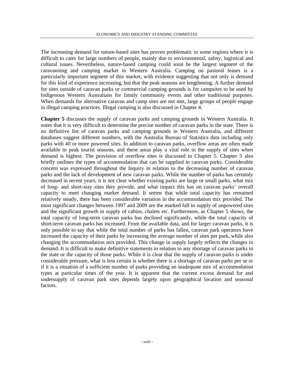The increasing demand for nature-based sites has proven problematic in some regions where it is difficult to cater for large numbers of people, mainly due to environmental, safety, logistical and cultural issues. Nevertheless, nature-based camping could soon be the largest segment of the caravanning and camping market in Western Australia. Camping on pastoral leases is a particularly important segment of this market, with evidence suggesting that not only is demand for this kind of experience increasing, but that the peak seasons are lengthening. A further demand for sites outside of caravan parks or commercial camping grounds is for campsites to be used by Indigenous Western Australians for family community events and other traditional purposes. When demands for alternative caravan and camp sites are not met, large groups of people engage in illegal camping practices. Illegal camping is also discussed in Chapter 4.

**Chapter 5** discusses the supply of caravan parks and camping grounds in Western Australia. It notes that it is very difficult to determine the precise number of caravan parks in the state. There is no definitive list of caravan parks and camping grounds in Western Australia, and different databases suggest different numbers, with the Australia Bureau of Statistics data including only parks with 40 or more powered sites. In addition to caravan parks, overflow areas are often made available in peak tourist seasons, and these areas play a vital role in the supply of sites when demand is highest. The provision of overflow sites is discussed in Chapter 5. Chapter 5 also briefly outlines the types of accommodation that can be supplied in caravan parks. Considerable concern was expressed throughout the Inquiry in relation to the decreasing number of caravan parks and the lack of development of new caravan parks. While the number of parks has certainly decreased in recent years, it is not clear whether existing parks are large or small parks, what mix of long- and short-stay sites they provide, and what impact this has on caravan parks' overall capacity to meet changing market demand. It seems that while total capacity has remained relatively steady, there has been considerable variation in the accommodation mix provided. The most significant changes between 1997 and 2009 are the marked fall in supply of unpowered sites and the significant growth in supply of cabins, chalets etc. Furthermore, as Chapter 5 shows, the total capacity of long-term caravan parks has declined significantly, while the total capacity of short-term caravan parks has increased. From the available data, and for larger caravan parks, it is only possible to say that while the total number of parks has fallen, caravan park operators have increased the capacity of their parks by increasing the average number of sites per park, while also changing the accommodation mix provided. This change in supply largely reflects the changes in demand. It is difficult to make definitive statements in relation to any shortage of caravan parks in the state or the capacity of those parks. While it is clear that the supply of caravan parks is under considerable pressure, what is less certain is whether there is a shortage of caravan parks per se or if it is a situation of a sufficient number of parks providing an inadequate mix of accommodation types at particular times of the year. It is apparent that the current excess demand for and undersupply of caravan park sites depends largely upon geographical location and seasonal factors.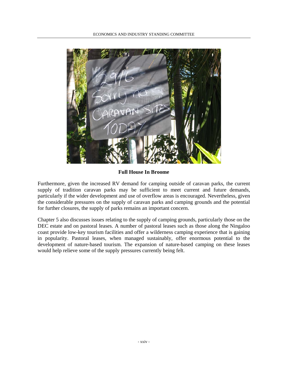

**Full House In Broome** 

Furthermore, given the increased RV demand for camping outside of caravan parks, the current supply of tradition caravan parks may be sufficient to meet current and future demands, particularly if the wider development and use of overflow areas is encouraged. Nevertheless, given the considerable pressures on the supply of caravan parks and camping grounds and the potential for further closures, the supply of parks remains an important concern.

Chapter 5 also discusses issues relating to the supply of camping grounds, particularly those on the DEC estate and on pastoral leases. A number of pastoral leases such as those along the Ningaloo coast provide low-key tourism facilities and offer a wilderness camping experience that is gaining in popularity. Pastoral leases, when managed sustainably, offer enormous potential to the development of nature-based tourism. The expansion of nature-based camping on these leases would help relieve some of the supply pressures currently being felt.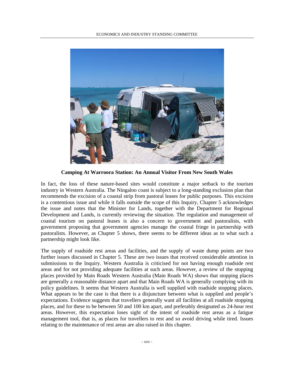

**Camping At Warroora Station: An Annual Visitor From New South Wales** 

In fact, the loss of these nature-based sites would constitute a major setback to the tourism industry in Western Australia. The Ningaloo coast is subject to a long-standing exclusion plan that recommends the excision of a coastal strip from pastoral leases for public purposes. This excision is a contentious issue and while it falls outside the scope of this Inquiry, Chapter 5 acknowledges the issue and notes that the Minister for Lands, together with the Department for Regional Development and Lands, is currently reviewing the situation. The regulation and management of coastal tourism on pastoral leases is also a concern to government and pastoralists, with government proposing that government agencies manage the coastal fringe in partnership with pastoralists. However, as Chapter 5 shows, there seems to be different ideas as to what such a partnership might look like.

The supply of roadside rest areas and facilities, and the supply of waste dump points are two further issues discussed in Chapter 5. These are two issues that received considerable attention in submissions to the Inquiry. Western Australia is criticised for not having enough roadside rest areas and for not providing adequate facilities at such areas. However, a review of the stopping places provided by Main Roads Western Australia (Main Roads WA) shows that stopping places are generally a reasonable distance apart and that Main Roads WA is generally complying with its policy guidelines. It seems that Western Australia is well supplied with roadside stopping places. What appears to be the case is that there is a disjuncture between what is supplied and people's expectations. Evidence suggests that travellers generally want all facilities at all roadside stopping places, and for these to be between 50 and 100 km apart, and preferably designated as 24-hour rest areas. However, this expectation loses sight of the intent of roadside rest areas as a fatigue management tool, that is, as places for travellers to rest and so avoid driving while tired. Issues relating to the maintenance of rest areas are also raised in this chapter.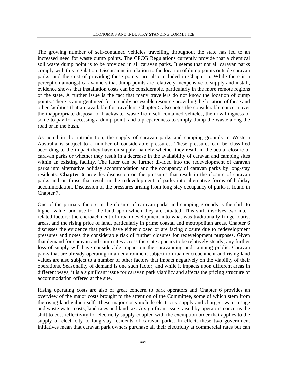The growing number of self-contained vehicles travelling throughout the state has led to an increased need for waste dump points. The CPCG Regulations currently provide that a chemical soil waste dump point is to be provided in all caravan parks. It seems that not all caravan parks comply with this regulation. Discussions in relation to the location of dump points outside caravan parks, and the cost of providing these points, are also included in Chapter 5. While there is a perception amongst caravanners that dump points are relatively inexpensive to supply and install, evidence shows that installation costs can be considerable, particularly in the more remote regions of the state. A further issue is the fact that many travellers do not know the location of dump points. There is an urgent need for a readily accessible resource providing the location of these and other facilities that are available for travellers. Chapter 5 also notes the considerable concern over the inappropriate disposal of blackwater waste from self-contained vehicles, the unwillingness of some to pay for accessing a dump point, and a preparedness to simply dump the waste along the road or in the bush.

As noted in the introduction, the supply of caravan parks and camping grounds in Western Australia is subject to a number of considerable pressures. These pressures can be classified according to the impact they have on supply, namely whether they result in the actual closure of caravan parks or whether they result in a decrease in the availability of caravan and camping sites within an existing facility. The latter can be further divided into the redevelopment of caravan parks into alternative holiday accommodation and the occupancy of caravan parks by long-stay residents. **Chapter 6** provides discussion on the pressures that result in the closure of caravan parks and on those that result in the redevelopment of parks into alternative forms of holiday accommodation. Discussion of the pressures arising from long-stay occupancy of parks is found in Chapter 7.

One of the primary factors in the closure of caravan parks and camping grounds is the shift to higher value land use for the land upon which they are situated. This shift involves two interrelated factors: the encroachment of urban development into what was traditionally fringe tourist areas, and the rising price of land, particularly in prime coastal and metropolitan areas. Chapter 6 discusses the evidence that parks have either closed or are facing closure due to redevelopment pressures and notes the considerable risk of further closures for redevelopment purposes. Given that demand for caravan and camp sites across the state appears to be relatively steady, any further loss of supply will have considerable impact on the caravanning and camping public. Caravan parks that are already operating in an environment subject to urban encroachment and rising land values are also subject to a number of other factors that impact negatively on the viability of their operations. Seasonality of demand is one such factor, and while it impacts upon different areas in different ways, it is a significant issue for caravan park viability and affects the pricing structure of accommodation offered at the site.

Rising operating costs are also of great concern to park operators and Chapter 6 provides an overview of the major costs brought to the attention of the Committee, some of which stem from the rising land value itself. These major costs include electricity supply and charges, water usage and waste water costs, land rates and land tax. A significant issue raised by operators concerns the shift to cost reflectivity for electricity supply coupled with the exemption order that applies to the supply of electricity to long-stay residents of caravan parks. In effect, these two government initiatives mean that caravan park owners purchase all their electricity at commercial rates but can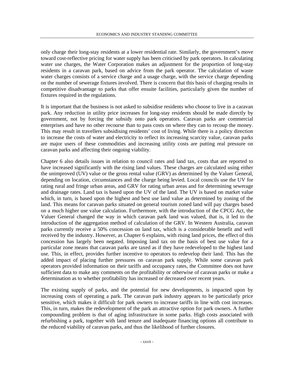only charge their long-stay residents at a lower residential rate. Similarly, the government's move toward cost-reflective pricing for water supply has been criticised by park operators. In calculating water use charges, the Water Corporation makes an adjustment for the proportion of long-stay residents in a caravan park, based on advice from the park operator. The calculation of waste water charges consists of a service charge and a usage charge, with the service charge depending on the number of sewerage fixtures involved. There is concern that this basis of charging results in competitive disadvantage to parks that offer ensuite facilities, particularly given the number of fixtures required in the regulations.

It is important that the business is not asked to subsidise residents who choose to live in a caravan park. Any reduction in utility price increases for long-stay residents should be made directly by government, not by forcing the subsidy onto park operators. Caravan parks are commercial enterprises and have no other recourse than to pass costs on where they can to recoup the money. This may result in travellers subsidising residents' cost of living. While there is a policy direction to increase the costs of water and electricity to reflect its increasing scarcity value, caravan parks are major users of these commodities and increasing utility costs are putting real pressure on caravan parks and affecting their ongoing viability.

Chapter 6 also details issues in relation to council rates and land tax, costs that are reported to have increased significantly with the rising land values. These charges are calculated using either the unimproved (UV) value or the gross rental value (GRV) as determined by the Valuer General, depending on location, circumstances and the charge being levied. Local councils use the UV for rating rural and fringe urban areas, and GRV for rating urban areas and for determining sewerage and drainage rates. Land tax is based upon the UV of the land. The UV is based on market value which, in turn, is based upon the highest and best use land value as determined by zoning of the land. This means for caravan parks situated on general tourism zoned land will pay charges based on a much higher use value calculation. Furthermore, with the introduction of the CPCG Act, the Valuer General changed the way in which caravan park land was valued, that is, it led to the introduction of the aggregation method of calculation of the GRV. In Western Australia, caravan parks currently receive a 50% concession on land tax, which is a considerable benefit and well received by the industry. However, as Chapter 6 explains, with rising land prices, the effect of this concession has largely been negated. Imposing land tax on the basis of best use value for a particular zone means that caravan parks are taxed as if they have redeveloped to the highest land use. This, in effect, provides further incentive to operators to redevelop their land. This has the added impact of placing further pressures on caravan park supply. While some caravan park operators provided information on their tariffs and occupancy rates, the Committee does not have sufficient data to make any comments on the profitability or otherwise of caravan parks or make a determination as to whether profitability has increased or decreased over recent years.

The existing supply of parks, and the potential for new developments, is impacted upon by increasing costs of operating a park. The caravan park industry appears to be particularly price sensitive, which makes it difficult for park owners to increase tariffs in line with cost increases. This, in turn, makes the redevelopment of the park an attractive option for park owners. A further compounding problem is that of aging infrastructure in some parks. High costs associated with refurbishing a park, together with land tenure and inadequate financing options all contribute to the reduced viability of caravan parks, and thus the likelihood of further closures.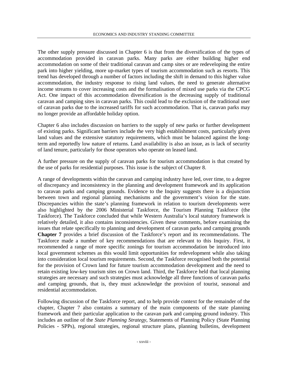The other supply pressure discussed in Chapter 6 is that from the diversification of the types of accommodation provided in caravan parks. Many parks are either building higher end accommodation on some of their traditional caravan and camp sites or are redeveloping the entire park into higher yielding, more up-market types of tourism accommodation such as resorts. This trend has developed through a number of factors including the shift in demand to this higher value accommodation, the industry response to rising land values, the need to generate alternative income streams to cover increasing costs and the formalisation of mixed use parks via the CPCG Act. One impact of this accommodation diversification is the decreasing supply of traditional caravan and camping sites in caravan parks. This could lead to the exclusion of the traditional user of caravan parks due to the increased tariffs for such accommodation. That is, caravan parks may no longer provide an affordable holiday option.

Chapter 6 also includes discussion on barriers to the supply of new parks or further development of existing parks. Significant barriers include the very high establishment costs, particularly given land values and the extensive statutory requirements, which must be balanced against the longterm and reportedly low nature of returns. Land availability is also an issue, as is lack of security of land tenure, particularly for those operators who operate on leased land.

A further pressure on the supply of caravan parks for tourism accommodation is that created by the use of parks for residential purposes. This issue is the subject of Chapter 8.

A range of developments within the caravan and camping industry have led, over time, to a degree of discrepancy and inconsistency in the planning and development framework and its application to caravan parks and camping grounds. Evidence to the Inquiry suggests there is a disjunction between town and regional planning mechanisms and the government's vision for the state. Discrepancies within the state's planning framework in relation to tourism developments were also highlighted by the 2006 Ministerial Taskforce, the Tourism Planning Taskforce (the Taskforce). The Taskforce concluded that while Western Australia's local statutory framework is relatively detailed, it also contains inconsistencies. Given these comments, before examining the issues that relate specifically to planning and development of caravan parks and camping grounds **Chapter 7** provides a brief discussion of the Taskforce's report and its recommendations. The Taskforce made a number of key recommendations that are relevant to this Inquiry. First, it recommended a range of more specific zonings for tourism accommodation be introduced into local government schemes as this would limit opportunities for redevelopment while also taking into consideration local tourism requirements. Second, the Taskforce recognised both the potential for the provision of Crown land for future tourism accommodation development and the need to retain existing low-key tourism sites on Crown land. Third, the Taskforce held that local planning strategies are necessary and such strategies must acknowledge all three functions of caravan parks and camping grounds, that is, they must acknowledge the provision of tourist, seasonal and residential accommodation.

Following discussion of the Taskforce report, and to help provide context for the remainder of the chapter, Chapter 7 also contains a summary of the main components of the state planning framework and their particular application to the caravan park and camping ground industry. This includes an outline of the *State Planning Strategy*, Statements of Planning Policy (State Planning Policies - SPPs), regional strategies, regional structure plans, planning bulletins, development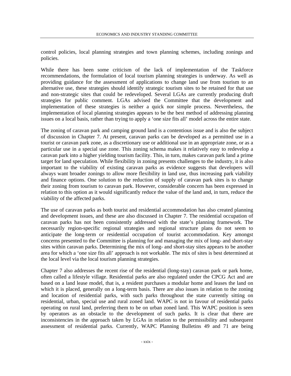control policies, local planning strategies and town planning schemes, including zonings and policies.

While there has been some criticism of the lack of implementation of the Taskforce recommendations, the formulation of local tourism planning strategies is underway. As well as providing guidance for the assessment of applications to change land use from tourism to an alternative use, these strategies should identify strategic tourism sites to be retained for that use and non-strategic sites that could be redeveloped. Several LGAs are currently producing draft strategies for public comment. LGAs advised the Committee that the development and implementation of these strategies is neither a quick nor simple process. Nevertheless, the implementation of local planning strategies appears to be the best method of addressing planning issues on a local basis, rather than trying to apply a 'one size fits all' model across the entire state.

The zoning of caravan park and camping ground land is a contentious issue and is also the subject of discussion in Chapter 7. At present, caravan parks can be developed as a permitted use in a tourist or caravan park zone, as a discretionary use or additional use in an appropriate zone, or as a particular use in a special use zone. This zoning schema makes it relatively easy to redevelop a caravan park into a higher yielding tourism facility. This, in turn, makes caravan park land a prime target for land speculation. While flexibility in zoning presents challenges to the industry, it is also important to the viability of existing caravan parks as evidence suggests that developers will always want broader zonings to allow more flexibility in land use, thus increasing park viability and finance options. One solution to the reduction of supply of caravan park sites is to change their zoning from tourism to caravan park. However, considerable concern has been expressed in relation to this option as it would significantly reduce the value of the land and, in turn, reduce the viability of the affected parks.

The use of caravan parks as both tourist and residential accommodation has also created planning and development issues, and these are also discussed in Chapter 7. The residential occupation of caravan parks has not been consistently addressed with the state's planning framework. The necessarily region-specific regional strategies and regional structure plans do not seem to anticipate the long-term or residential occupation of tourist accommodation. Key amongst concerns presented to the Committee is planning for and managing the mix of long- and short-stay sites within caravan parks. Determining the mix of long- and short-stay sites appears to be another area for which a 'one size fits all' approach is not workable. The mix of sites is best determined at the local level via the local tourism planning strategies.

Chapter 7 also addresses the recent rise of the residential (long-stay) caravan park or park home, often called a lifestyle village. Residential parks are also regulated under the CPCG Act and are based on a land lease model, that is, a resident purchases a modular home and leases the land on which it is placed, generally on a long-term basis. There are also issues in relation to the zoning and location of residential parks, with such parks throughout the state currently sitting on residential, urban, special use and rural zoned land. WAPC is not in favour of residential parks operating on rural land, preferring them to be on urban zoned land. This WAPC position is seen by operators as an obstacle to the development of such parks. It is clear that there are inconsistencies in the approach taken by LGAs in relation to the permissibility and subsequent assessment of residential parks. Currently, WAPC Planning Bulletins 49 and 71 are being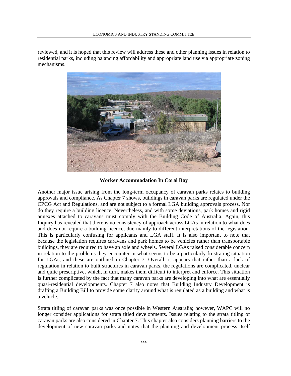reviewed, and it is hoped that this review will address these and other planning issues in relation to residential parks, including balancing affordability and appropriate land use via appropriate zoning mechanisms.



#### **Worker Accommodation In Coral Bay**

Another major issue arising from the long-term occupancy of caravan parks relates to building approvals and compliance. As Chapter 7 shows, buildings in caravan parks are regulated under the CPCG Act and Regulations, and are not subject to a formal LGA building approvals process. Nor do they require a building licence. Nevertheless, and with some deviations, park homes and rigid annexes attached to caravans must comply with the Building Code of Australia. Again, this Inquiry has revealed that there is no consistency of approach across LGAs in relation to what does and does not require a building licence, due mainly to different interpretations of the legislation. This is particularly confusing for applicants and LGA staff. It is also important to note that because the legislation requires caravans and park homes to be vehicles rather than transportable buildings, they are required to have an axle and wheels. Several LGAs raised considerable concern in relation to the problems they encounter in what seems to be a particularly frustrating situation for LGAs, and these are outlined in Chapter 7. Overall, it appears that rather than a lack of regulation in relation to built structures in caravan parks, the regulations are complicated, unclear and quite prescriptive, which, in turn, makes them difficult to interpret and enforce. This situation is further complicated by the fact that many caravan parks are developing into what are essentially quasi-residential developments. Chapter 7 also notes that Building Industry Development is drafting a Building Bill to provide some clarity around what is regulated as a building and what is a vehicle.

Strata titling of caravan parks was once possible in Western Australia; however, WAPC will no longer consider applications for strata titled developments. Issues relating to the strata titling of caravan parks are also considered in Chapter 7. This chapter also considers planning barriers to the development of new caravan parks and notes that the planning and development process itself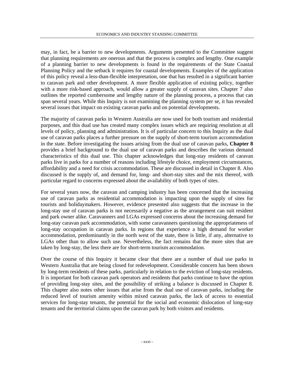may, in fact, be a barrier to new developments. Arguments presented to the Committee suggest that planning requirements are onerous and that the process is complex and lengthy. One example of a planning barrier to new developments is found in the requirements of the State Coastal Planning Policy and the setback it requires for coastal developments. Examples of the application of this policy reveal a less-than-flexible interpretation, one that has resulted in a significant barrier to caravan park and other development. A more flexible application of existing policy, together with a more risk-based approach, would allow a greater supply of caravan sites. Chapter 7 also outlines the reported cumbersome and lengthy nature of the planning process, a process that can span several years. While this Inquiry is not examining the planning system per se, it has revealed several issues that impact on existing caravan parks and on potential developments.

The majority of caravan parks in Western Australia are now used for both tourism and residential purposes, and this dual use has created many complex issues which are requiring resolution at all levels of policy, planning and administration. It is of particular concern to this Inquiry as the dual use of caravan parks places a further pressure on the supply of short-term tourism accommodation in the state. Before investigating the issues arising from the dual use of caravan parks, **Chapter 8** provides a brief background to the dual use of caravan parks and describes the various demand characteristics of this dual use. This chapter acknowledges that long-stay residents of caravan parks live in parks for a number of reasons including lifestyle choice, employment circumstances, affordability and a need for crisis accommodation. These are discussed in detail in Chapter 8. Also discussed is the supply of, and demand for, long- and short-stay sites and the mix thereof, with particular regard to concerns expressed about the availability of both types of sites.

For several years now, the caravan and camping industry has been concerned that the increasing use of caravan parks as residential accommodation is impacting upon the supply of sites for tourists and holidaymakers. However, evidence presented also suggests that the increase in the long-stay use of caravan parks is not necessarily a negative as the arrangement can suit resident and park owner alike. Caravanners and LGAs expressed concerns about the increasing demand for long-stay caravan park accommodation, with some caravanners questioning the appropriateness of long-stay occupation in caravan parks. In regions that experience a high demand for worker accommodation, predominantly in the north west of the state, there is little, if any, alternative to LGAs other than to allow such use. Nevertheless, the fact remains that the more sites that are taken by long-stay, the less there are for short-term tourism accommodation.

Over the course of this Inquiry it became clear that there are a number of dual use parks in Western Australia that are being closed for redevelopment. Considerable concern has been shown by long-term residents of these parks, particularly in relation to the eviction of long-stay residents. It is important for both caravan park operators and residents that parks continue to have the option of providing long-stay sites, and the possibility of striking a balance is discussed in Chapter 8. This chapter also notes other issues that arise from the dual use of caravan parks, including the reduced level of tourism amenity within mixed caravan parks, the lack of access to essential services for long-stay tenants, the potential for the social and economic dislocation of long-stay tenants and the territorial claims upon the caravan park by both visitors and residents.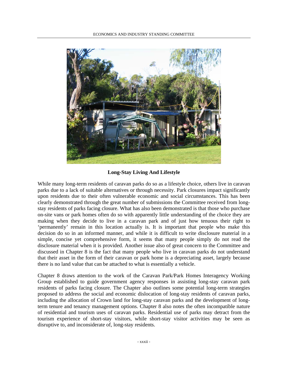

**Long-Stay Living And Lifestyle** 

While many long-term residents of caravan parks do so as a lifestyle choice, others live in caravan parks due to a lack of suitable alternatives or through necessity. Park closures impact significantly upon residents due to their often vulnerable economic and social circumstances. This has been clearly demonstrated through the great number of submissions the Committee received from longstay residents of parks facing closure. What has also been demonstrated is that those who purchase on-site vans or park homes often do so with apparently little understanding of the choice they are making when they decide to live in a caravan park and of just how tenuous their right to 'permanently' remain in this location actually is. It is important that people who make this decision do so in an informed manner, and while it is difficult to write disclosure material in a simple, concise yet comprehensive form, it seems that many people simply do not read the disclosure material when it is provided. Another issue also of great concern to the Committee and discussed in Chapter 8 is the fact that many people who live in caravan parks do not understand that their asset in the form of their caravan or park home is a depreciating asset, largely because there is no land value that can be attached to what is essentially a vehicle.

Chapter 8 draws attention to the work of the Caravan Park/Park Homes Interagency Working Group established to guide government agency responses in assisting long-stay caravan park residents of parks facing closure. The Chapter also outlines some potential long-term strategies proposed to address the social and economic dislocation of long-stay residents of caravan parks, including the allocation of Crown land for long-stay caravan parks and the development of longterm tenure and tenancy management options. Chapter 8 also notes the often incompatible nature of residential and tourism uses of caravan parks. Residential use of parks may detract from the tourism experience of short-stay visitors, while short-stay visitor activities may be seen as disruptive to, and inconsiderate of, long-stay residents.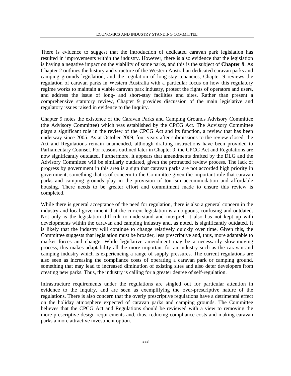There is evidence to suggest that the introduction of dedicated caravan park legislation has resulted in improvements within the industry. However, there is also evidence that the legislation is having a negative impact on the viability of some parks, and this is the subject of **Chapter 9**. As Chapter 2 outlines the history and structure of the Western Australian dedicated caravan parks and camping grounds legislation, and the regulation of long-stay tenancies, Chapter 9 reviews the regulation of caravan parks in Western Australia with a particular focus on how this regulatory regime works to maintain a viable caravan park industry, protect the rights of operators and users, and address the issue of long- and short-stay facilities and sites. Rather than present a comprehensive statutory review, Chapter 9 provides discussion of the main legislative and regulatory issues raised in evidence to the Inquiry.

Chapter 9 notes the existence of the Caravan Parks and Camping Grounds Advisory Committee (the Advisory Committee) which was established by the CPCG Act. The Advisory Committee plays a significant role in the review of the CPCG Act and its function, a review that has been underway since 2005. As at October 2009, four years after submissions to the review closed, the Act and Regulations remain unamended, although drafting instructions have been provided to Parliamentary Counsel. For reasons outlined later in Chapter 9, the CPCG Act and Regulations are now significantly outdated. Furthermore, it appears that amendments drafted by the DLG and the Advisory Committee will be similarly outdated, given the protracted review process. The lack of progress by government in this area is a sign that caravan parks are not accorded high priority in government, something that is of concern to the Committee given the important role that caravan parks and camping grounds play in the provision of tourism accommodation and affordable housing. There needs to be greater effort and commitment made to ensure this review is completed.

While there is general acceptance of the need for regulation, there is also a general concern in the industry and local government that the current legislation is ambiguous, confusing and outdated. Not only is the legislation difficult to understand and interpret, it also has not kept up with developments within the caravan and camping industry and, as noted, is significantly outdated. It is likely that the industry will continue to change relatively quickly over time. Given this, the Committee suggests that legislation must be broader, less prescriptive and, thus, more adaptable to market forces and change. While legislative amendment may be a necessarily slow-moving process, this makes adaptability all the more important for an industry such as the caravan and camping industry which is experiencing a range of supply pressures. The current regulations are also seen as increasing the compliance costs of operating a caravan park or camping ground, something that may lead to increased diminution of existing sites and also deter developers from creating new parks. Thus, the industry is calling for a greater degree of self-regulation.

Infrastructure requirements under the regulations are singled out for particular attention in evidence to the Inquiry, and are seen as exemplifying the over-prescriptive nature of the regulations. There is also concern that the overly prescriptive regulations have a detrimental effect on the holiday atmosphere expected of caravan parks and camping grounds. The Committee believes that the CPCG Act and Regulations should be reviewed with a view to removing the more prescriptive design requirements and, thus, reducing compliance costs and making caravan parks a more attractive investment option.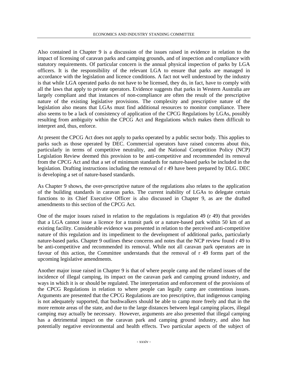Also contained in Chapter 9 is a discussion of the issues raised in evidence in relation to the impact of licensing of caravan parks and camping grounds, and of inspection and compliance with statutory requirements. Of particular concern is the annual physical inspection of parks by LGA officers. It is the responsibility of the relevant LGA to ensure that parks are managed in accordance with the legislation and licence conditions. A fact not well understood by the industry is that while LGA operated parks do not have to be licensed, they do, in fact, have to comply with all the laws that apply to private operators. Evidence suggests that parks in Western Australia are largely compliant and that instances of non-compliance are often the result of the prescriptive nature of the existing legislative provisions. The complexity and prescriptive nature of the legislation also means that LGAs must find additional resources to monitor compliance. There also seems to be a lack of consistency of application of the CPCG Regulations by LGAs, possibly resulting from ambiguity within the CPCG Act and Regulations which makes them difficult to interpret and, thus, enforce.

At present the CPCG Act does not apply to parks operated by a public sector body. This applies to parks such as those operated by DEC. Commercial operators have raised concerns about this, particularly in terms of competitive neutrality, and the National Competition Policy (NCP) Legislation Review deemed this provision to be anti-competitive and recommended its removal from the CPCG Act and that a set of minimum standards for nature-based parks be included in the legislation. Drafting instructions including the removal of r 49 have been prepared by DLG. DEC is developing a set of nature-based standards.

As Chapter 9 shows, the over-prescriptive nature of the regulations also relates to the application of the building standards in caravan parks. The current inability of LGAs to delegate certain functions to its Chief Executive Officer is also discussed in Chapter 9, as are the drafted amendments to this section of the CPCG Act.

One of the major issues raised in relation to the regulations is regulation 49 (r 49) that provides that a LGA cannot issue a licence for a transit park or a nature-based park within 50 km of an existing facility. Considerable evidence was presented in relation to the perceived anti-competitive nature of this regulation and its impediment to the development of additional parks, particularly nature-based parks. Chapter 9 outlines these concerns and notes that the NCP review found r 49 to be anti-competitive and recommended its removal. While not all caravan park operators are in favour of this action, the Committee understands that the removal of r 49 forms part of the upcoming legislative amendments.

Another major issue raised in Chapter 9 is that of where people camp and the related issues of the incidence of illegal camping, its impact on the caravan park and camping ground industry, and ways in which it is or should be regulated. The interpretation and enforcement of the provisions of the CPCG Regulations in relation to where people can legally camp are contentious issues. Arguments are presented that the CPCG Regulations are too prescriptive, that indigenous camping is not adequately supported, that bushwalkers should be able to camp more freely and that in the more remote areas of the state, and due to the large distances between legal camping places, illegal camping may actually be necessary. However, arguments are also presented that illegal camping has a detrimental impact on the caravan park and camping ground industry, and also has potentially negative environmental and health effects. Two particular aspects of the subject of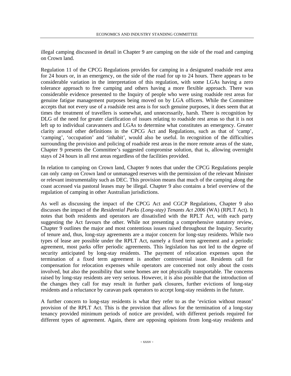illegal camping discussed in detail in Chapter 9 are camping on the side of the road and camping on Crown land.

Regulation 11 of the CPCG Regulations provides for camping in a designated roadside rest area for 24 hours or, in an emergency, on the side of the road for up to 24 hours. There appears to be considerable variation in the interpretation of this regulation, with some LGAs having a zero tolerance approach to free camping and others having a more flexible approach. There was considerable evidence presented to the Inquiry of people who were using roadside rest areas for genuine fatigue management purposes being moved on by LGA officers. While the Committee accepts that not every use of a roadside rest area is for such genuine purposes, it does seem that at times the treatment of travellers is somewhat, and unnecessarily, harsh. There is recognition by DLG of the need for greater clarification of issues relating to roadside rest areas so that it is not left up to individual caravanners and LGAs to determine what constitutes an emergency. Greater clarity around other definitions in the CPCG Act and Regulations, such as that of 'camp', 'camping', 'occupation' and 'inhabit', would also be useful. In recognition of the difficulties surrounding the provision and policing of roadside rest areas in the more remote areas of the state, Chapter 9 presents the Committee's suggested compromise solution, that is, allowing overnight stays of 24 hours in all rest areas regardless of the facilities provided.

In relation to camping on Crown land, Chapter 9 notes that under the CPCG Regulations people can only camp on Crown land or unmanaged reserves with the permission of the relevant Minister or relevant instrumentality such as DEC. This provision means that much of the camping along the coast accessed via pastoral leases may be illegal. Chapter 9 also contains a brief overview of the regulation of camping in other Australian jurisdictions.

As well as discussing the impact of the CPCG Act and CGCP Regulations, Chapter 9 also discusses the impact of the *Residential Parks (Long-stay) Tenants Act 2006* (WA) (RPLT Act). It notes that both residents and operators are dissatisfied with the RPLT Act, with each party suggesting the Act favours the other. While not presenting a comprehensive statutory review, Chapter 9 outlines the major and most contentious issues raised throughout the Inquiry. Security of tenure and, thus, long-stay agreements are a major concern for long-stay residents. While two types of lease are possible under the RPLT Act, namely a fixed term agreement and a periodic agreement, most parks offer periodic agreements. This legislation has not led to the degree of security anticipated by long-stay residents. The payment of relocation expenses upon the termination of a fixed term agreement is another controversial issue. Residents call for compensation for relocation expenses while operators are concerned not only about the costs involved, but also the possibility that some homes are not physically transportable. The concerns raised by long-stay residents are very serious. However, it is also possible that the introduction of the changes they call for may result in further park closures, further evictions of long-stay residents and a reluctance by caravan park operators to accept long-stay residents in the future.

A further concern to long-stay residents is what they refer to as the 'eviction without reason' provision of the RPLT Act. This is the provision that allows for the termination of a long-stay tenancy provided minimum periods of notice are provided, with different periods required for different types of agreement. Again, there are opposing opinions from long-stay residents and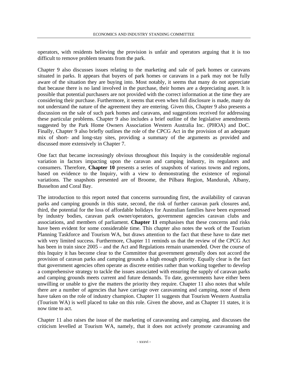operators, with residents believing the provision is unfair and operators arguing that it is too difficult to remove problem tenants from the park.

Chapter 9 also discusses issues relating to the marketing and sale of park homes or caravans situated in parks. It appears that buyers of park homes or caravans in a park may not be fully aware of the situation they are buying into. Most notably, it seems that many do not appreciate that because there is no land involved in the purchase, their homes are a depreciating asset. It is possible that potential purchasers are not provided with the correct information at the time they are considering their purchase. Furthermore, it seems that even when full disclosure is made, many do not understand the nature of the agreement they are entering. Given this, Chapter 9 also presents a discussion on the sale of such park homes and caravans, and suggestions received for addressing these particular problems. Chapter 9 also includes a brief outline of the legislative amendments suggested by the Park Home Owners Association Western Australia Inc. (PHOA) and DoC. Finally, Chapter 9 also briefly outlines the role of the CPCG Act in the provision of an adequate mix of short- and long-stay sites, providing a summary of the arguments as provided and discussed more extensively in Chapter 7.

One fact that became increasingly obvious throughout this Inquiry is the considerable regional variation in factors impacting upon the caravan and camping industry, its regulators and consumers. Therefore, **Chapter 10** presents a series of snapshots of various towns and regions, based on evidence to the Inquiry, with a view to demonstrating the existence of regional variations. The snapshots presented are of Broome, the Pilbara Region, Mandurah, Albany, Busselton and Coral Bay.

The introduction to this report noted that concerns surrounding first, the availability of caravan parks and camping grounds in this state, second, the risk of further caravan park closures and, third, the potential for the loss of affordable holidays for Australian families have been expressed by industry bodies, caravan park owner/operators, government agencies caravan clubs and associations, and members of parliament. **Chapter 11** emphasises that these concerns and risks have been evident for some considerable time. This chapter also notes the work of the Tourism Planning Taskforce and Tourism WA, but draws attention to the fact that these have to date met with very limited success. Furthermore, Chapter 11 reminds us that the review of the CPCG Act has been in train since  $2005$  – and the Act and Regulations remain unamended. Over the course of this Inquiry it has become clear to the Committee that government generally does not accord the provision of caravan parks and camping grounds a high enough priority. Equally clear is the fact that government agencies often operate as discrete entities rather than working together to develop a comprehensive strategy to tackle the issues associated with ensuring the supply of caravan parks and camping grounds meets current and future demands. To date, governments have either been unwilling or unable to give the matters the priority they require. Chapter 11 also notes that while there are a number of agencies that have carriage over caravanning and camping, none of them have taken on the role of industry champion. Chapter 11 suggests that Tourism Western Australia (Tourism WA) is well placed to take on this role. Given the above, and as Chapter 11 states, it is now time to act.

Chapter 11 also raises the issue of the marketing of caravanning and camping, and discusses the criticism levelled at Tourism WA, namely, that it does not actively promote caravanning and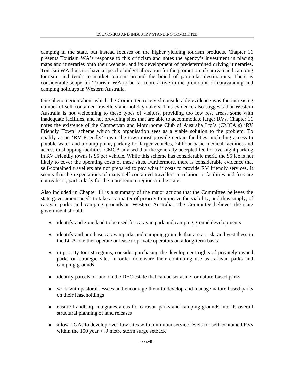camping in the state, but instead focuses on the higher yielding tourism products. Chapter 11 presents Tourism WA's response to this criticism and notes the agency's investment in placing maps and itineraries onto their website, and its development of predetermined driving itineraries. Tourism WA does not have a specific budget allocation for the promotion of caravan and camping tourism, and tends to market tourism around the brand of particular destinations. There is considerable scope for Tourism WA to be far more active in the promotion of caravanning and camping holidays in Western Australia.

One phenomenon about which the Committee received considerable evidence was the increasing number of self-contained travellers and holidaymakers. This evidence also suggests that Western Australia is not welcoming to these types of visitors, providing too few rest areas, some with inadequate facilities, and not providing sites that are able to accommodate larger RVs. Chapter 11 notes the existence of the Campervan and Motorhome Club of Australia Ltd's (CMCA's) 'RV Friendly Town' scheme which this organisation sees as a viable solution to the problem. To qualify as an 'RV Friendly' town, the town must provide certain facilities, including access to potable water and a dump point, parking for larger vehicles, 24-hour basic medical facilities and access to shopping facilities. CMCA advised that the generally accepted fee for overnight parking in RV Friendly towns is \$5 per vehicle. While this scheme has considerable merit, the \$5 fee is not likely to cover the operating costs of these sites. Furthermore, there is considerable evidence that self-contained travellers are not prepared to pay what it costs to provide RV friendly services. It seems that the expectations of many self-contained travellers in relation to facilities and fees are not realistic, particularly for the more remote regions in the state.

Also included in Chapter 11 is a summary of the major actions that the Committee believes the state government needs to take as a matter of priority to improve the viability, and thus supply, of caravan parks and camping grounds in Western Australia. The Committee believes the state government should:

- identify and zone land to be used for caravan park and camping ground developments
- identify and purchase caravan parks and camping grounds that are at risk, and vest these in the LGA to either operate or lease to private operators on a long-term basis
- in priority tourist regions, consider purchasing the development rights of privately owned parks on strategic sites in order to ensure their continuing use as caravan parks and camping grounds
- identify parcels of land on the DEC estate that can be set aside for nature-based parks
- work with pastoral lessees and encourage them to develop and manage nature based parks on their leaseholdings
- ensure LandCorp integrates areas for caravan parks and camping grounds into its overall structural planning of land releases
- allow LGAs to develop overflow sites with minimum service levels for self-contained RVs within the  $100$  year  $+ .9$  metre storm surge setback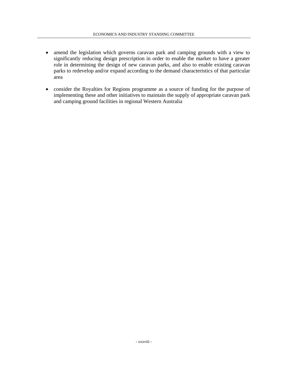- amend the legislation which governs caravan park and camping grounds with a view to significantly reducing design prescription in order to enable the market to have a greater role in determining the design of new caravan parks, and also to enable existing caravan parks to redevelop and/or expand according to the demand characteristics of that particular area
- consider the Royalties for Regions programme as a source of funding for the purpose of implementing these and other initiatives to maintain the supply of appropriate caravan park and camping ground facilities in regional Western Australia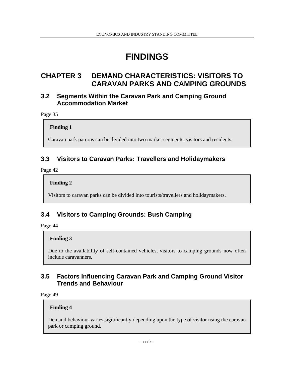# **FINDINGS**

# **CHAPTER 3 DEMAND CHARACTERISTICS: VISITORS TO CARAVAN PARKS AND CAMPING GROUNDS**

## **3.2 Segments Within the Caravan Park and Camping Ground Accommodation Market**

Page 35

**Finding 1** 

Caravan park patrons can be divided into two market segments, visitors and residents.

## **3.3 Visitors to Caravan Parks: Travellers and Holidaymakers**

Page 42

**Finding 2** 

Visitors to caravan parks can be divided into tourists/travellers and holidaymakers.

## **3.4 Visitors to Camping Grounds: Bush Camping**

Page 44

## **Finding 3**

Due to the availability of self-contained vehicles, visitors to camping grounds now often include caravanners.

## **3.5 Factors Influencing Caravan Park and Camping Ground Visitor Trends and Behaviour**

Page 49

## **Finding 4**

Demand behaviour varies significantly depending upon the type of visitor using the caravan park or camping ground.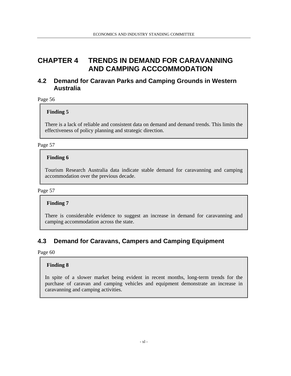## **CHAPTER 4 TRENDS IN DEMAND FOR CARAVANNING AND CAMPING ACCCOMMODATION**

## **4.2 Demand for Caravan Parks and Camping Grounds in Western Australia**

Page 56

## **Finding 5**

There is a lack of reliable and consistent data on demand and demand trends. This limits the effectiveness of policy planning and strategic direction.

## Page 57

## **Finding 6**

Tourism Research Australia data indicate stable demand for caravanning and camping accommodation over the previous decade.

### Page 57

## **Finding 7**

There is considerable evidence to suggest an increase in demand for caravanning and camping accommodation across the state.

## **4.3 Demand for Caravans, Campers and Camping Equipment**

Page 60

## **Finding 8**

In spite of a slower market being evident in recent months, long-term trends for the purchase of caravan and camping vehicles and equipment demonstrate an increase in caravanning and camping activities.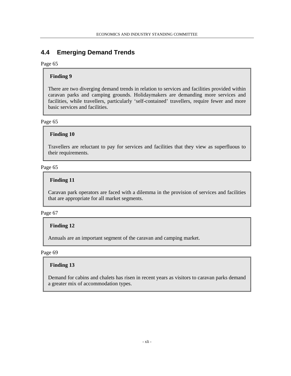## **4.4 Emerging Demand Trends**

#### Page 65

### **Finding 9**

There are two diverging demand trends in relation to services and facilities provided within caravan parks and camping grounds. Holidaymakers are demanding more services and facilities, while travellers, particularly 'self-contained' travellers, require fewer and more basic services and facilities.

Page 65

#### **Finding 10**

Travellers are reluctant to pay for services and facilities that they view as superfluous to their requirements.

#### Page 65

### **Finding 11**

Caravan park operators are faced with a dilemma in the provision of services and facilities that are appropriate for all market segments.

#### Page 67

#### **Finding 12**

Annuals are an important segment of the caravan and camping market.

Page 69

#### **Finding 13**

Demand for cabins and chalets has risen in recent years as visitors to caravan parks demand a greater mix of accommodation types.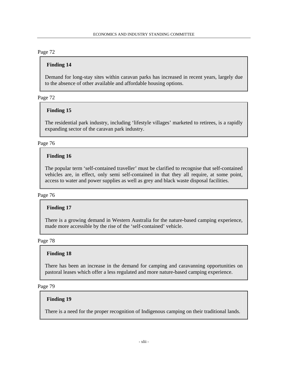## **Finding 14**

Demand for long-stay sites within caravan parks has increased in recent years, largely due to the absence of other available and affordable housing options.

Page 72

### **Finding 15**

The residential park industry, including 'lifestyle villages' marketed to retirees, is a rapidly expanding sector of the caravan park industry.

### Page 76

## **Finding 16**

The popular term 'self-contained traveller' must be clarified to recognise that self-contained vehicles are, in effect, only semi self-contained in that they all require, at some point, access to water and power supplies as well as grey and black waste disposal facilities.

#### Page 76

## **Finding 17**

There is a growing demand in Western Australia for the nature-based camping experience, made more accessible by the rise of the 'self-contained' vehicle.

### Page 78

## **Finding 18**

There has been an increase in the demand for camping and caravanning opportunities on pastoral leases which offer a less regulated and more nature-based camping experience.

Page 79

### **Finding 19**

There is a need for the proper recognition of Indigenous camping on their traditional lands.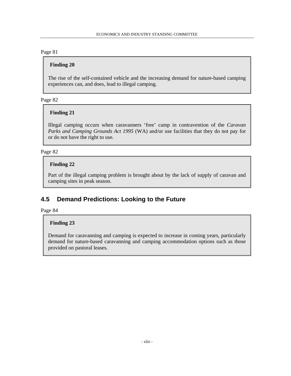### **Finding 20**

The rise of the self-contained vehicle and the increasing demand for nature-based camping experiences can, and does, lead to illegal camping.

#### Page 82

### **Finding 21**

Illegal camping occurs when caravanners 'free' camp in contravention of the *Caravan Parks and Camping Grounds Act 1995* (WA) and/or use facilities that they do not pay for or do not have the right to use.

### Page 82

### **Finding 22**

Part of the illegal camping problem is brought about by the lack of supply of caravan and camping sites in peak season.

## **4.5 Demand Predictions: Looking to the Future**

Page 84

### **Finding 23**

Demand for caravanning and camping is expected to increase in coming years, particularly demand for nature-based caravanning and camping accommodation options such as those provided on pastoral leases.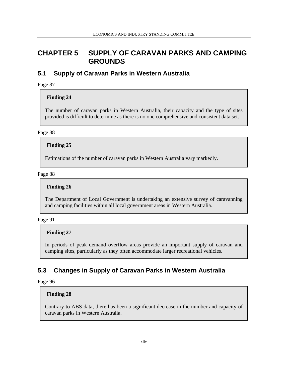# **CHAPTER 5 SUPPLY OF CARAVAN PARKS AND CAMPING GROUNDS**

## **5.1 Supply of Caravan Parks in Western Australia**

Page 87

## **Finding 24**

The number of caravan parks in Western Australia, their capacity and the type of sites provided is difficult to determine as there is no one comprehensive and consistent data set.

Page 88

**Finding 25** 

Estimations of the number of caravan parks in Western Australia vary markedly.

Page 88

## **Finding 26**

The Department of Local Government is undertaking an extensive survey of caravanning and camping facilities within all local government areas in Western Australia.

Page 91

## **Finding 27**

In periods of peak demand overflow areas provide an important supply of caravan and camping sites, particularly as they often accommodate larger recreational vehicles.

## **5.3 Changes in Supply of Caravan Parks in Western Australia**

Page 96

## **Finding 28**

Contrary to ABS data, there has been a significant decrease in the number and capacity of caravan parks in Western Australia.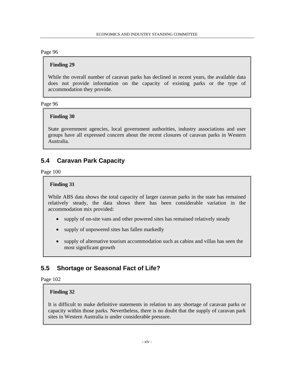### **Finding 29**

While the overall number of caravan parks has declined in recent years, the available data does not provide information on the capacity of existing parks or the type of accommodation they provide.

#### Page 96

### **Finding 30**

State government agencies, local government authorities, industry associations and user groups have all expressed concern about the recent closures of caravan parks in Western Australia.

## **5.4 Caravan Park Capacity**

Page 100

### **Finding 31**

While ABS data shows the total capacity of larger caravan parks in the state has remained relatively steady, the data shows there has been considerable variation in the accommodation mix provided:

- supply of on-site vans and other powered sites has remained relatively steady
- supply of unpowered sites has fallen markedly
- supply of alternative tourism accommodation such as cabins and villas has seen the most significant growth

## **5.5 Shortage or Seasonal Fact of Life?**

Page 102

#### **Finding 32**

It is difficult to make definitive statements in relation to any shortage of caravan parks or capacity within those parks. Nevertheless, there is no doubt that the supply of caravan park sites in Western Australia is under considerable pressure.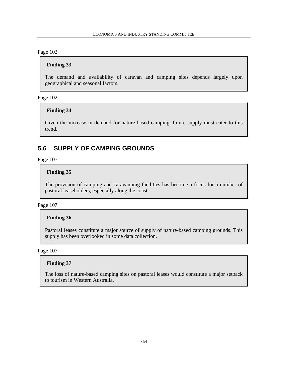### **Finding 33**

The demand and availability of caravan and camping sites depends largely upon geographical and seasonal factors.

Page 102

### **Finding 34**

Given the increase in demand for nature-based camping, future supply must cater to this trend.

## **5.6 SUPPLY OF CAMPING GROUNDS**

Page 107

## **Finding 35**

The provision of camping and caravanning facilities has become a focus for a number of pastoral leaseholders, especially along the coast.

Page 107

## **Finding 36**

Pastoral leases constitute a major source of supply of nature-based camping grounds. This supply has been overlooked in some data collection.

Page 107

### **Finding 37**

The loss of nature-based camping sites on pastoral leases would constitute a major setback to tourism in Western Australia.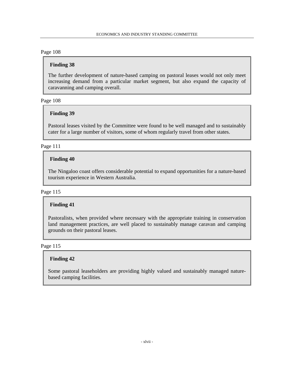### **Finding 38**

The further development of nature-based camping on pastoral leases would not only meet increasing demand from a particular market segment, but also expand the capacity of caravanning and camping overall.

Page 108

### **Finding 39**

Pastoral leases visited by the Committee were found to be well managed and to sustainably cater for a large number of visitors, some of whom regularly travel from other states.

Page 111

## **Finding 40**

The Ningaloo coast offers considerable potential to expand opportunities for a nature-based tourism experience in Western Australia.

### Page 115

### **Finding 41**

Pastoralists, when provided where necessary with the appropriate training in conservation land management practices, are well placed to sustainably manage caravan and camping grounds on their pastoral leases.

#### Page 115

### **Finding 42**

Some pastoral leaseholders are providing highly valued and sustainably managed naturebased camping facilities.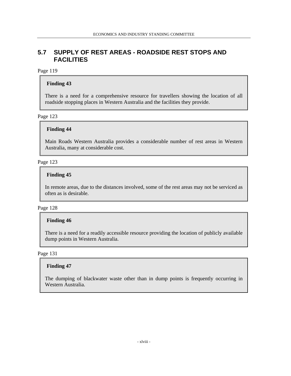## **5.7 SUPPLY OF REST AREAS - ROADSIDE REST STOPS AND FACILITIES**

### Page 119

## **Finding 43**

There is a need for a comprehensive resource for travellers showing the location of all roadside stopping places in Western Australia and the facilities they provide.

Page 123

### **Finding 44**

Main Roads Western Australia provides a considerable number of rest areas in Western Australia, many at considerable cost.

### Page 123

## **Finding 45**

In remote areas, due to the distances involved, some of the rest areas may not be serviced as often as is desirable.

### Page 128

### **Finding 46**

There is a need for a readily accessible resource providing the location of publicly available dump points in Western Australia.

### Page 131

### **Finding 47**

The dumping of blackwater waste other than in dump points is frequently occurring in Western Australia.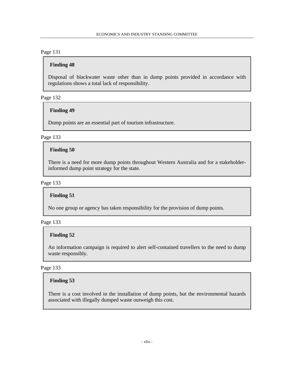### **Finding 48**

Disposal of blackwater waste other than in dump points provided in accordance with regulations shows a total lack of responsibility.

Page 132

### **Finding 49**

Dump points are an essential part of tourism infrastructure.

### Page 133

### **Finding 50**

There is a need for more dump points throughout Western Australia and for a stakeholderinformed dump point strategy for the state.

#### Page 133

### **Finding 51**

No one group or agency has taken responsibility for the provision of dump points.

### Page 133

### **Finding 52**

An information campaign is required to alert self-contained travellers to the need to dump waste responsibly.

### Page 133

### **Finding 53**

There is a cost involved in the installation of dump points, but the environmental hazards associated with illegally dumped waste outweigh this cost.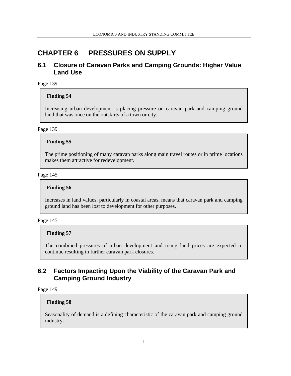## **CHAPTER 6 PRESSURES ON SUPPLY**

## **6.1 Closure of Caravan Parks and Camping Grounds: Higher Value Land Use**

Page 139

### **Finding 54**

Increasing urban development is placing pressure on caravan park and camping ground land that was once on the outskirts of a town or city.

#### Page 139

### **Finding 55**

The prime positioning of many caravan parks along main travel routes or in prime locations makes them attractive for redevelopment.

#### Page 145

#### **Finding 56**

Increases in land values, particularly in coastal areas, means that caravan park and camping ground land has been lost to development for other purposes.

#### Page 145

#### **Finding 57**

The combined pressures of urban development and rising land prices are expected to continue resulting in further caravan park closures.

## **6.2 Factors Impacting Upon the Viability of the Caravan Park and Camping Ground Industry**

Page 149

#### **Finding 58**

Seasonality of demand is a defining characteristic of the caravan park and camping ground industry.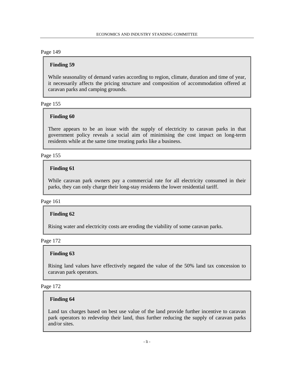### **Finding 59**

While seasonality of demand varies according to region, climate, duration and time of year, it necessarily affects the pricing structure and composition of accommodation offered at caravan parks and camping grounds.

#### Page 155

#### **Finding 60**

There appears to be an issue with the supply of electricity to caravan parks in that government policy reveals a social aim of minimising the cost impact on long-term residents while at the same time treating parks like a business.

### Page 155

### **Finding 61**

While caravan park owners pay a commercial rate for all electricity consumed in their parks, they can only charge their long-stay residents the lower residential tariff.

### Page 161

### **Finding 62**

Rising water and electricity costs are eroding the viability of some caravan parks.

#### Page 172

### **Finding 63**

Rising land values have effectively negated the value of the 50% land tax concession to caravan park operators.

#### Page 172

#### **Finding 64**

Land tax charges based on best use value of the land provide further incentive to caravan park operators to redevelop their land, thus further reducing the supply of caravan parks and/or sites.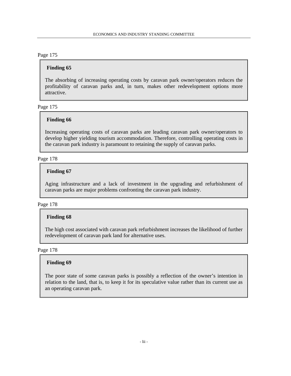### **Finding 65**

The absorbing of increasing operating costs by caravan park owner/operators reduces the profitability of caravan parks and, in turn, makes other redevelopment options more attractive.

### Page 175

## **Finding 66**

Increasing operating costs of caravan parks are leading caravan park owner/operators to develop higher yielding tourism accommodation. Therefore, controlling operating costs in the caravan park industry is paramount to retaining the supply of caravan parks.

### Page 178

### **Finding 67**

Aging infrastructure and a lack of investment in the upgrading and refurbishment of caravan parks are major problems confronting the caravan park industry.

### Page 178

## **Finding 68**

The high cost associated with caravan park refurbishment increases the likelihood of further redevelopment of caravan park land for alternative uses.

Page 178

### **Finding 69**

The poor state of some caravan parks is possibly a reflection of the owner's intention in relation to the land, that is, to keep it for its speculative value rather than its current use as an operating caravan park.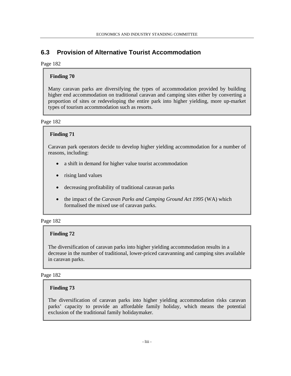## **6.3 Provision of Alternative Tourist Accommodation**

### Page 182

## **Finding 70**

Many caravan parks are diversifying the types of accommodation provided by building higher end accommodation on traditional caravan and camping sites either by converting a proportion of sites or redeveloping the entire park into higher yielding, more up-market types of tourism accommodation such as resorts.

Page 182

### **Finding 71**

Caravan park operators decide to develop higher yielding accommodation for a number of reasons, including:

- a shift in demand for higher value tourist accommodation
- rising land values
- decreasing profitability of traditional caravan parks
- the impact of the *Caravan Parks and Camping Ground Act 1995* (WA) which formalised the mixed use of caravan parks.

### Page 182

### **Finding 72**

The diversification of caravan parks into higher yielding accommodation results in a decrease in the number of traditional, lower-priced caravanning and camping sites available in caravan parks.

### Page 182

### **Finding 73**

The diversification of caravan parks into higher yielding accommodation risks caravan parks' capacity to provide an affordable family holiday, which means the potential exclusion of the traditional family holidaymaker.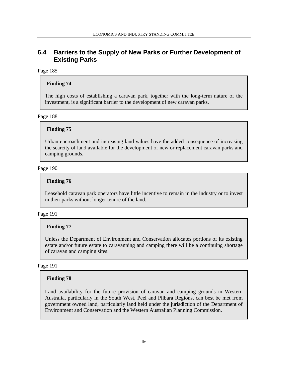## **6.4 Barriers to the Supply of New Parks or Further Development of Existing Parks**

### Page 185

## **Finding 74**

The high costs of establishing a caravan park, together with the long-term nature of the investment, is a significant barrier to the development of new caravan parks.

Page 188

### **Finding 75**

Urban encroachment and increasing land values have the added consequence of increasing the scarcity of land available for the development of new or replacement caravan parks and camping grounds.

### Page 190

## **Finding 76**

Leasehold caravan park operators have little incentive to remain in the industry or to invest in their parks without longer tenure of the land.

### Page 191

### **Finding 77**

Unless the Department of Environment and Conservation allocates portions of its existing estate and/or future estate to caravanning and camping there will be a continuing shortage of caravan and camping sites.

#### Page 191

### **Finding 78**

Land availability for the future provision of caravan and camping grounds in Western Australia, particularly in the South West, Peel and Pilbara Regions, can best be met from government owned land, particularly land held under the jurisdiction of the Department of Environment and Conservation and the Western Australian Planning Commission.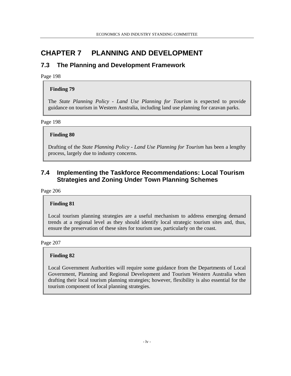# **CHAPTER 7 PLANNING AND DEVELOPMENT**

## **7.3 The Planning and Development Framework**

Page 198

## **Finding 79**

The *State Planning Policy - Land Use Planning for Tourism* is expected to provide guidance on tourism in Western Australia, including land use planning for caravan parks.

Page 198

## **Finding 80**

Drafting of the *State Planning Policy - Land Use Planning for Tourism* has been a lengthy process, largely due to industry concerns.

## **7.4 Implementing the Taskforce Recommendations: Local Tourism Strategies and Zoning Under Town Planning Schemes**

Page 206

### **Finding 81**

Local tourism planning strategies are a useful mechanism to address emerging demand trends at a regional level as they should identify local strategic tourism sites and, thus, ensure the preservation of these sites for tourism use, particularly on the coast.

Page 207

### **Finding 82**

Local Government Authorities will require some guidance from the Departments of Local Government, Planning and Regional Development and Tourism Western Australia when drafting their local tourism planning strategies; however, flexibility is also essential for the tourism component of local planning strategies.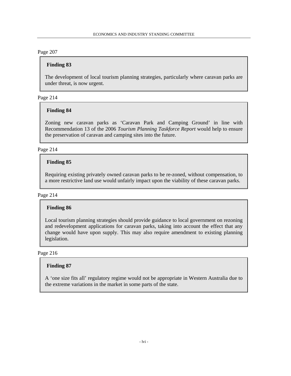### **Finding 83**

The development of local tourism planning strategies, particularly where caravan parks are under threat, is now urgent.

### Page 214

### **Finding 84**

Zoning new caravan parks as 'Caravan Park and Camping Ground' in line with Recommendation 13 of the 2006 *Tourism Planning Taskforce Report* would help to ensure the preservation of caravan and camping sites into the future.

### Page 214

## **Finding 85**

Requiring existing privately owned caravan parks to be re-zoned, without compensation, to a more restrictive land use would unfairly impact upon the viability of these caravan parks.

#### Page 214

### **Finding 86**

Local tourism planning strategies should provide guidance to local government on rezoning and redevelopment applications for caravan parks, taking into account the effect that any change would have upon supply. This may also require amendment to existing planning legislation.

### Page 216

### **Finding 87**

A 'one size fits all' regulatory regime would not be appropriate in Western Australia due to the extreme variations in the market in some parts of the state.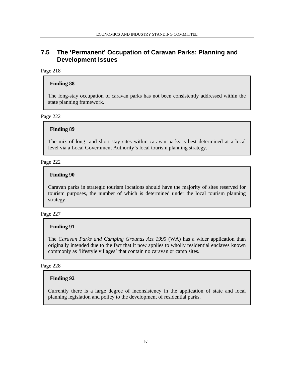## **7.5 The 'Permanent' Occupation of Caravan Parks: Planning and Development Issues**

### Page 218

### **Finding 88**

The long-stay occupation of caravan parks has not been consistently addressed within the state planning framework.

Page 222

### **Finding 89**

The mix of long- and short-stay sites within caravan parks is best determined at a local level via a Local Government Authority's local tourism planning strategy.

### Page 222

### **Finding 90**

Caravan parks in strategic tourism locations should have the majority of sites reserved for tourism purposes, the number of which is determined under the local tourism planning strategy.

### Page 227

### **Finding 91**

The *Caravan Parks and Camping Grounds Act 1995* (WA) has a wider application than originally intended due to the fact that it now applies to wholly residential enclaves known commonly as 'lifestyle villages' that contain no caravan or camp sites.

### Page 228

### **Finding 92**

Currently there is a large degree of inconsistency in the application of state and local planning legislation and policy to the development of residential parks.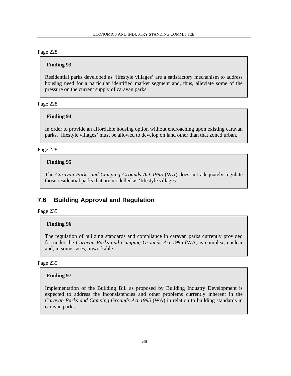### **Finding 93**

Residential parks developed as 'lifestyle villages' are a satisfactory mechanism to address housing need for a particular identified market segment and, thus, alleviate some of the pressure on the current supply of caravan parks.

### Page 228

## **Finding 94**

In order to provide an affordable housing option without encroaching upon existing caravan parks, 'lifestyle villages' must be allowed to develop on land other than that zoned urban.

### Page 228

## **Finding 95**

The *Caravan Parks and Camping Grounds Act 1995* (WA) does not adequately regulate those residential parks that are modelled as 'lifestyle villages'.

## **7.6 Building Approval and Regulation**

Page 235

### **Finding 96**

The regulation of building standards and compliance in caravan parks currently provided for under the *Caravan Parks and Camping Grounds Act 1995* (WA) is complex, unclear and, in some cases, unworkable.

#### Page 235

### **Finding 97**

Implementation of the Building Bill as proposed by Building Industry Development is expected to address the inconsistencies and other problems currently inherent in the *Caravan Parks and Camping Grounds Act 1995* (WA) in relation to building standards in caravan parks.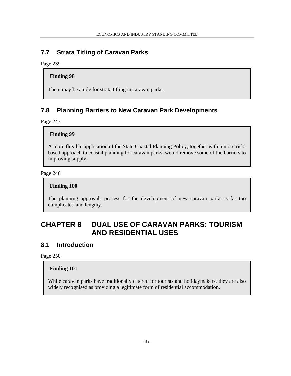## **7.7 Strata Titling of Caravan Parks**

Page 239

### **Finding 98**

There may be a role for strata titling in caravan parks.

## **7.8 Planning Barriers to New Caravan Park Developments**

Page 243

## **Finding 99**

A more flexible application of the State Coastal Planning Policy, together with a more riskbased approach to coastal planning for caravan parks, would remove some of the barriers to improving supply.

### Page 246

### **Finding 100**

The planning approvals process for the development of new caravan parks is far too complicated and lengthy.

# **CHAPTER 8 DUAL USE OF CARAVAN PARKS: TOURISM AND RESIDENTIAL USES**

## **8.1 Introduction**

Page 250

## **Finding 101**

While caravan parks have traditionally catered for tourists and holidaymakers, they are also widely recognised as providing a legitimate form of residential accommodation.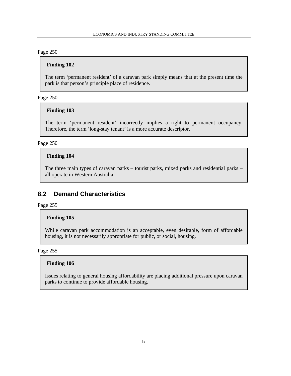### **Finding 102**

The term 'permanent resident' of a caravan park simply means that at the present time the park is that person's principle place of residence.

Page 250

### **Finding 103**

The term 'permanent resident' incorrectly implies a right to permanent occupancy. Therefore, the term 'long-stay tenant' is a more accurate descriptor.

Page 250

### **Finding 104**

The three main types of caravan parks – tourist parks, mixed parks and residential parks – all operate in Western Australia.

## **8.2 Demand Characteristics**

Page 255

### **Finding 105**

While caravan park accommodation is an acceptable, even desirable, form of affordable housing, it is not necessarily appropriate for public, or social, housing.

Page 255

### **Finding 106**

Issues relating to general housing affordability are placing additional pressure upon caravan parks to continue to provide affordable housing.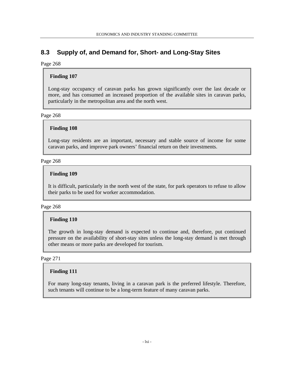## **8.3 Supply of, and Demand for, Short- and Long-Stay Sites**

### Page 268

## **Finding 107**

Long-stay occupancy of caravan parks has grown significantly over the last decade or more, and has consumed an increased proportion of the available sites in caravan parks, particularly in the metropolitan area and the north west.

### Page 268

## **Finding 108**

Long-stay residents are an important, necessary and stable source of income for some caravan parks, and improve park owners' financial return on their investments.

### Page 268

## **Finding 109**

It is difficult, particularly in the north west of the state, for park operators to refuse to allow their parks to be used for worker accommodation.

### Page 268

## **Finding 110**

The growth in long-stay demand is expected to continue and, therefore, put continued pressure on the availability of short-stay sites unless the long-stay demand is met through other means or more parks are developed for tourism.

### Page 271

### **Finding 111**

For many long-stay tenants, living in a caravan park is the preferred lifestyle. Therefore, such tenants will continue to be a long-term feature of many caravan parks.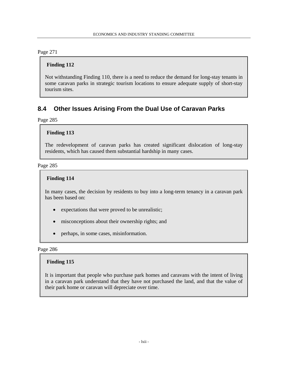### **Finding 112**

Not withstanding Finding 110, there is a need to reduce the demand for long-stay tenants in some caravan parks in strategic tourism locations to ensure adequate supply of short-stay tourism sites.

## **8.4 Other Issues Arising From the Dual Use of Caravan Parks**

Page 285

### **Finding 113**

The redevelopment of caravan parks has created significant dislocation of long-stay residents, which has caused them substantial hardship in many cases.

#### Page 285

### **Finding 114**

In many cases, the decision by residents to buy into a long-term tenancy in a caravan park has been based on:

- expectations that were proved to be unrealistic;
- misconceptions about their ownership rights; and
- perhaps, in some cases, misinformation.

Page 286

### **Finding 115**

It is important that people who purchase park homes and caravans with the intent of living in a caravan park understand that they have not purchased the land, and that the value of their park home or caravan will depreciate over time.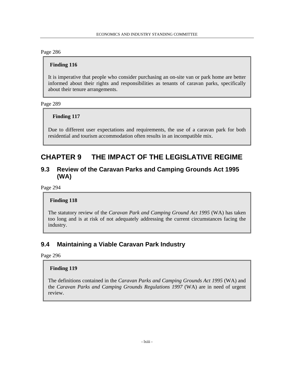### **Finding 116**

It is imperative that people who consider purchasing an on-site van or park home are better informed about their rights and responsibilities as tenants of caravan parks, specifically about their tenure arrangements.

### Page 289

## **Finding 117**

Due to different user expectations and requirements, the use of a caravan park for both residential and tourism accommodation often results in an incompatible mix.

# **CHAPTER 9 THE IMPACT OF THE LEGISLATIVE REGIME**

## **9.3 Review of the Caravan Parks and Camping Grounds Act 1995 (WA)**

Page 294

### **Finding 118**

The statutory review of the *Caravan Park and Camping Ground Act 1995* (WA) has taken too long and is at risk of not adequately addressing the current circumstances facing the industry.

## **9.4 Maintaining a Viable Caravan Park Industry**

Page 296

### **Finding 119**

The definitions contained in the *Caravan Parks and Camping Grounds Act 1995* (WA) and the *Caravan Parks and Camping Grounds Regulations 1997* (WA) are in need of urgent review.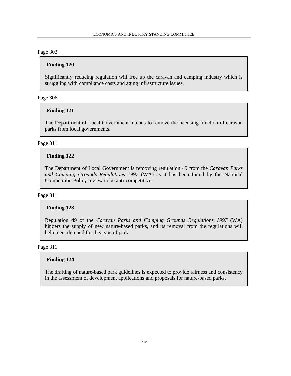### **Finding 120**

Significantly reducing regulation will free up the caravan and camping industry which is struggling with compliance costs and aging infrastructure issues.

Page 306

### **Finding 121**

The Department of Local Government intends to remove the licensing function of caravan parks from local governments.

Page 311

## **Finding 122**

The Department of Local Government is removing regulation 49 from the *Caravan Parks and Camping Grounds Regulations 1997* (WA) as it has been found by the National Competition Policy review to be anti-competitive.

#### Page 311

### **Finding 123**

Regulation 49 of the *Caravan Parks and Camping Grounds Regulations 1997* (WA) hinders the supply of new nature-based parks, and its removal from the regulations will help meet demand for this type of park.

Page 311

### **Finding 124**

The drafting of nature-based park guidelines is expected to provide fairness and consistency in the assessment of development applications and proposals for nature-based parks.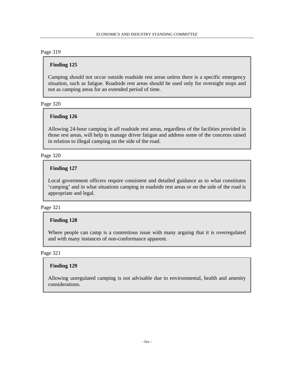### **Finding 125**

Camping should not occur outside roadside rest areas unless there is a specific emergency situation, such as fatigue. Roadside rest areas should be used only for overnight stops and not as camping areas for an extended period of time.

#### Page 320

### **Finding 126**

Allowing 24-hour camping in *all* roadside rest areas, regardless of the facilities provided in those rest areas, will help to manage driver fatigue and address some of the concerns raised in relation to illegal camping on the side of the road.

### Page 320

### **Finding 127**

Local government officers require consistent and detailed guidance as to what constitutes 'camping' and in what situations camping in roadside rest areas or on the side of the road is appropriate and legal.

#### Page 321

### **Finding 128**

Where people can camp is a contentious issue with many arguing that it is overregulated and with many instances of non-conformance apparent.

### Page 321

#### **Finding 129**

Allowing unregulated camping is not advisable due to environmental, health and amenity considerations.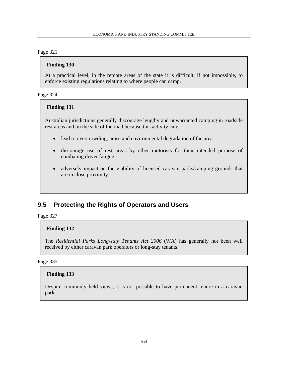## **Finding 130**

At a practical level, in the remote areas of the state it is difficult, if not impossible, to enforce existing regulations relating to where people can camp.

### Page 324

## **Finding 131**

Australian jurisdictions generally discourage lengthy and unwarranted camping in roadside rest areas and on the side of the road because this activity can:

- lead to overcrowding, noise and environmental degradation of the area
- discourage use of rest areas by other motorists for their intended purpose of combating driver fatigue
- adversely impact on the viability of licensed caravan parks/camping grounds that are in close proximity

## **9.5 Protecting the Rights of Operators and Users**

Page 327

## **Finding 132**

The *Residential Parks Long-stay Tenants Act 2006* (WA) has generally not been well received by either caravan park operators or long-stay tenants.

### Page 335

### **Finding 133**

Despite commonly held views, it is not possible to have permanent tenure in a caravan park.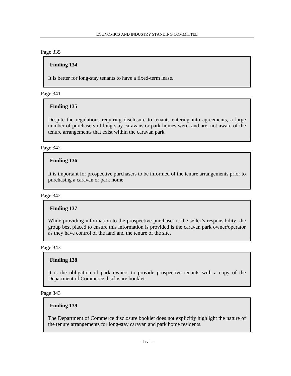### **Finding 134**

It is better for long-stay tenants to have a fixed-term lease.

### Page 341

### **Finding 135**

Despite the regulations requiring disclosure to tenants entering into agreements, a large number of purchasers of long-stay caravans or park homes were, and are, not aware of the tenure arrangements that exist within the caravan park.

### Page 342

## **Finding 136**

It is important for prospective purchasers to be informed of the tenure arrangements prior to purchasing a caravan or park home.

### Page 342

### **Finding 137**

While providing information to the prospective purchaser is the seller's responsibility, the group best placed to ensure this information is provided is the caravan park owner/operator as they have control of the land and the tenure of the site.

Page 343

### **Finding 138**

It is the obligation of park owners to provide prospective tenants with a copy of the Department of Commerce disclosure booklet.

### Page 343

### **Finding 139**

The Department of Commerce disclosure booklet does not explicitly highlight the nature of the tenure arrangements for long-stay caravan and park home residents.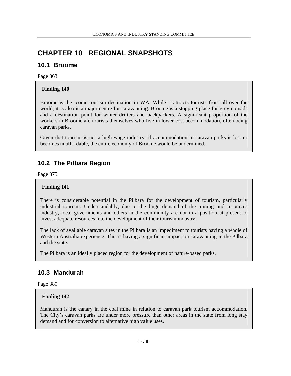# **CHAPTER 10 REGIONAL SNAPSHOTS**

## **10.1 Broome**

Page 363

## **Finding 140**

Broome is the iconic tourism destination in WA. While it attracts tourists from all over the world, it is also is a major centre for caravanning. Broome is a stopping place for grey nomads and a destination point for winter drifters and backpackers. A significant proportion of the workers in Broome are tourists themselves who live in lower cost accommodation, often being caravan parks.

Given that tourism is not a high wage industry, if accommodation in caravan parks is lost or becomes unaffordable, the entire economy of Broome would be undermined.

## **10.2 The Pilbara Region**

Page 375

## **Finding 141**

There is considerable potential in the Pilbara for the development of tourism, particularly industrial tourism. Understandably, due to the huge demand of the mining and resources industry, local governments and others in the community are not in a position at present to invest adequate resources into the development of their tourism industry.

The lack of available caravan sites in the Pilbara is an impediment to tourists having a whole of Western Australia experience. This is having a significant impact on caravanning in the Pilbara and the state.

The Pilbara is an ideally placed region for the development of nature-based parks.

## **10.3 Mandurah**

Page 380

## **Finding 142**

Mandurah is the canary in the coal mine in relation to caravan park tourism accommodation. The City's caravan parks are under more pressure than other areas in the state from long stay demand and for conversion to alternative high value uses.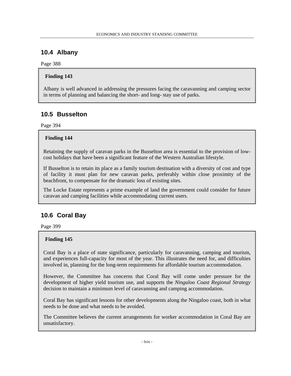## **10.4 Albany**

Page 388

## **Finding 143**

Albany is well advanced in addressing the pressures facing the caravanning and camping sector in terms of planning and balancing the short- and long- stay use of parks.

## **10.5 Busselton**

Page 394

## **Finding 144**

Retaining the supply of caravan parks in the Busselton area is essential to the provision of lowcost holidays that have been a significant feature of the Western Australian lifestyle.

If Busselton is to retain its place as a family tourism destination with a diversity of cost and type of facility it must plan for new caravan parks, preferably within close proximity of the beachfront, to compensate for the dramatic loss of existing sites.

The Locke Estate represents a prime example of land the government could consider for future caravan and camping facilities while accommodating current users.

## **10.6 Coral Bay**

Page 399

## **Finding 145**

Coral Bay is a place of state significance, particularly for caravanning, camping and tourism, and experiences full-capacity for most of the year. This illustrates the need for, and difficulties involved in, planning for the long-term requirements for affordable tourism accommodation.

However, the Committee has concerns that Coral Bay will come under pressure for the development of higher yield tourism use, and supports the *Ningaloo Coast Regional Strategy* decision to maintain a minimum level of caravanning and camping accommodation.

Coral Bay has significant lessons for other developments along the Ningaloo coast, both in what needs to be done and what needs to be avoided.

The Committee believes the current arrangements for worker accommodation in Coral Bay are unsatisfactory.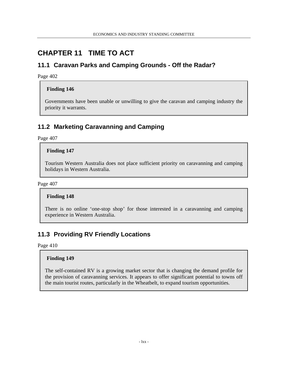## **CHAPTER 11 TIME TO ACT**

## **11.1 Caravan Parks and Camping Grounds - Off the Radar?**

Page 402

### **Finding 146**

Governments have been unable or unwilling to give the caravan and camping industry the priority it warrants.

## **11.2 Marketing Caravanning and Camping**

Page 407

### **Finding 147**

Tourism Western Australia does not place sufficient priority on caravanning and camping holidays in Western Australia.

Page 407

#### **Finding 148**

There is no online 'one-stop shop' for those interested in a caravanning and camping experience in Western Australia.

## **11.3 Providing RV Friendly Locations**

Page 410

#### **Finding 149**

The self-contained RV is a growing market sector that is changing the demand profile for the provision of caravanning services. It appears to offer significant potential to towns off the main tourist routes, particularly in the Wheatbelt, to expand tourism opportunities.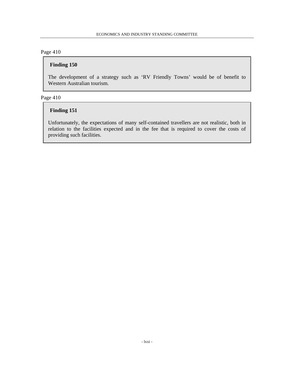## **Finding 150**

The development of a strategy such as 'RV Friendly Towns' would be of benefit to Western Australian tourism.

### Page 410

## **Finding 151**

Unfortunately, the expectations of many self-contained travellers are not realistic, both in relation to the facilities expected and in the fee that is required to cover the costs of providing such facilities.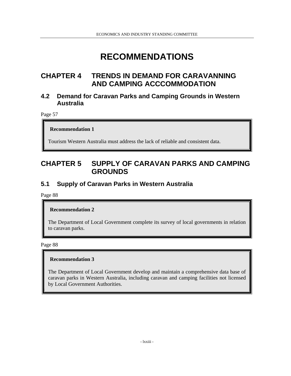# **RECOMMENDATIONS**

## **CHAPTER 4 TRENDS IN DEMAND FOR CARAVANNING AND CAMPING ACCCOMMODATION**

## **4.2 Demand for Caravan Parks and Camping Grounds in Western Australia**

Page 57

**Recommendation 1** 

Tourism Western Australia must address the lack of reliable and consistent data.

## **CHAPTER 5 SUPPLY OF CARAVAN PARKS AND CAMPING GROUNDS**

## **5.1 Supply of Caravan Parks in Western Australia**

Page 88

#### **Recommendation 2**

The Department of Local Government complete its survey of local governments in relation to caravan parks.

Page 88

#### **Recommendation 3**

The Department of Local Government develop and maintain a comprehensive data base of caravan parks in Western Australia, including caravan and camping facilities not licensed by Local Government Authorities.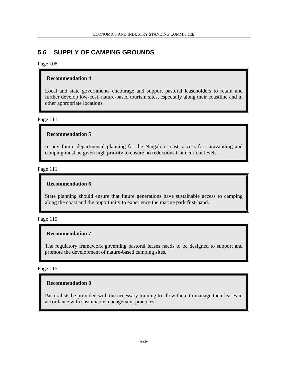## **5.6 SUPPLY OF CAMPING GROUNDS**

#### Page 108

### **Recommendation 4**

Local and state governments encourage and support pastoral leaseholders to retain and further develop low-cost, nature-based tourism sites, especially along their coastline and in other appropriate locations.

Page 111

### **Recommendation 5**

In any future departmental planning for the Ningaloo coast, access for caravanning and camping must be given high priority to ensure no reductions from current levels.

Page 111

### **Recommendation 6**

State planning should ensure that future generations have sustainable access to camping along the coast and the opportunity to experience the marine park first-hand.

Page 115

### **Recommendation 7**

The regulatory framework governing pastoral leases needs to be designed to support and promote the development of nature-based camping sites.

Page 115

## **Recommendation 8**

Pastoralists be provided with the necessary training to allow them to manage their leases in accordance with sustainable management practices.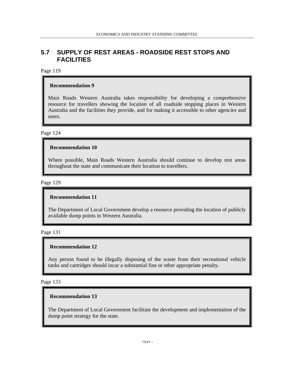## **5.7 SUPPLY OF REST AREAS - ROADSIDE REST STOPS AND FACILITIES**

### Page 119

#### **Recommendation 9**

Main Roads Western Australia takes responsibility for developing a comprehensive resource for travellers showing the location of all roadside stopping places in Western Australia and the facilities they provide, and for making it accessible to other agencies and users.

Page 124

#### **Recommendation 10**

Where possible, Main Roads Western Australia should continue to develop rest areas throughout the state and communicate their location to travellers.

Page 129

### **Recommendation 11**

The Department of Local Government develop a resource providing the location of publicly available dump points in Western Australia.

Page 131

#### **Recommendation 12**

Any person found to be illegally disposing of the waste from their recreational vehicle tanks and cartridges should incur a substantial fine or other appropriate penalty.

Page 133

### **Recommendation 13**

The Department of Local Government facilitate the development and implementation of the dump point strategy for the state.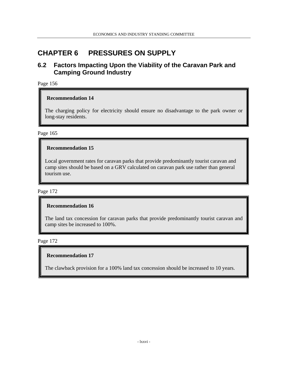## **CHAPTER 6 PRESSURES ON SUPPLY**

## **6.2 Factors Impacting Upon the Viability of the Caravan Park and Camping Ground Industry**

Page 156

#### **Recommendation 14**

The charging policy for electricity should ensure no disadvantage to the park owner or long-stay residents.

Page 165

### **Recommendation 15**

Local government rates for caravan parks that provide predominantly tourist caravan and camp sites should be based on a GRV calculated on caravan park use rather than general tourism use.

Page 172

#### **Recommendation 16**

The land tax concession for caravan parks that provide predominantly tourist caravan and camp sites be increased to 100%.

Page 172

#### **Recommendation 17**

The clawback provision for a 100% land tax concession should be increased to 10 years.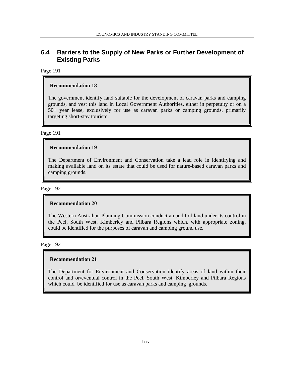## **6.4 Barriers to the Supply of New Parks or Further Development of Existing Parks**

### Page 191

### **Recommendation 18**

The government identify land suitable for the development of caravan parks and camping grounds, and vest this land in Local Government Authorities, either in perpetuity or on a 50+ year lease, exclusively for use as caravan parks or camping grounds, primarily targeting short-stay tourism.

#### Page 191

### **Recommendation 19**

The Department of Environment and Conservation take a lead role in identifying and making available land on its estate that could be used for nature-based caravan parks and camping grounds.

#### Page 192

#### **Recommendation 20**

The Western Australian Planning Commission conduct an audit of land under its control in the Peel, South West, Kimberley and Pilbara Regions which, with appropriate zoning, could be identified for the purposes of caravan and camping ground use.

#### Page 192

#### **Recommendation 21**

The Department for Environment and Conservation identify areas of land within their control and or/eventual control in the Peel, South West, Kimberley and Pilbara Regions which could be identified for use as caravan parks and camping grounds.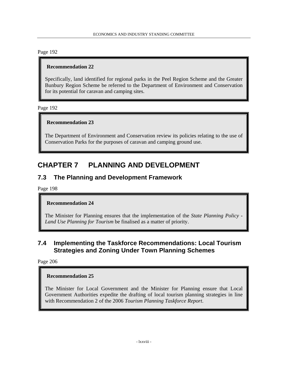## **Recommendation 22**

Specifically, land identified for regional parks in the Peel Region Scheme and the Greater Bunbury Region Scheme be referred to the Department of Environment and Conservation for its potential for caravan and camping sites.

Page 192

## **Recommendation 23**

The Department of Environment and Conservation review its policies relating to the use of Conservation Parks for the purposes of caravan and camping ground use.

## **CHAPTER 7 PLANNING AND DEVELOPMENT**

## **7.3 The Planning and Development Framework**

Page 198

## **Recommendation 24**

The Minister for Planning ensures that the implementation of the *State Planning Policy - Land Use Planning for Tourism* be finalised as a matter of priority.

## **7.4 Implementing the Taskforce Recommendations: Local Tourism Strategies and Zoning Under Town Planning Schemes**

Page 206

## **Recommendation 25**

The Minister for Local Government and the Minister for Planning ensure that Local Government Authorities expedite the drafting of local tourism planning strategies in line with Recommendation 2 of the 2006 *Tourism Planning Taskforce Report*.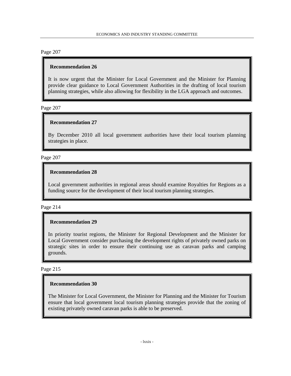## **Recommendation 26**

It is now urgent that the Minister for Local Government and the Minister for Planning provide clear guidance to Local Government Authorities in the drafting of local tourism planning strategies, while also allowing for flexibility in the LGA approach and outcomes.

Page 207

### **Recommendation 27**

By December 2010 all local government authorities have their local tourism planning strategies in place.

#### Page 207

## **Recommendation 28**

Local government authorities in regional areas should examine Royalties for Regions as a funding source for the development of their local tourism planning strategies.

#### Page 214

## **Recommendation 29**

In priority tourist regions, the Minister for Regional Development and the Minister for Local Government consider purchasing the development rights of privately owned parks on strategic sites in order to ensure their continuing use as caravan parks and camping grounds.

#### Page 215

## **Recommendation 30**

The Minister for Local Government, the Minister for Planning and the Minister for Tourism ensure that local government local tourism planning strategies provide that the zoning of existing privately owned caravan parks is able to be preserved.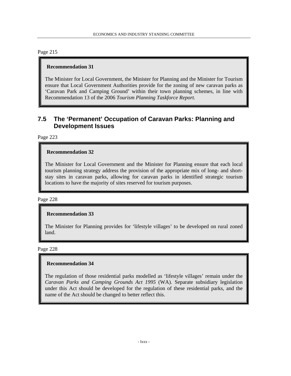#### **Recommendation 31**

The Minister for Local Government, the Minister for Planning and the Minister for Tourism ensure that Local Government Authorities provide for the zoning of new caravan parks as 'Caravan Park and Camping Ground' within their town planning schemes, in line with Recommendation 13 of the 2006 *Tourism Planning Taskforce Report.*

## **7.5 The 'Permanent' Occupation of Caravan Parks: Planning and Development Issues**

Page 223

#### **Recommendation 32**

The Minister for Local Government and the Minister for Planning ensure that each local tourism planning strategy address the provision of the appropriate mix of long- and shortstay sites in caravan parks, allowing for caravan parks in identified strategic tourism locations to have the majority of sites reserved for tourism purposes.

#### Page 228

## **Recommendation 33**

The Minister for Planning provides for 'lifestyle villages' to be developed on rural zoned land.

Page 228

#### **Recommendation 34**

The regulation of those residential parks modelled as 'lifestyle villages' remain under the *Caravan Parks and Camping Grounds Act 1995* (WA)*.* Separate subsidiary legislation under this Act should be developed for the regulation of these residential parks, and the name of the Act should be changed to better reflect this.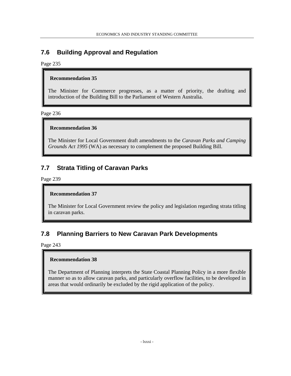## **7.6 Building Approval and Regulation**

Page 235

### **Recommendation 35**

The Minister for Commerce progresses, as a matter of priority, the drafting and introduction of the Building Bill to the Parliament of Western Australia.

Page 236

## **Recommendation 36**

The Minister for Local Government draft amendments to the *Caravan Parks and Camping Grounds Act 1995* (WA) as necessary to complement the proposed Building Bill.

## **7.7 Strata Titling of Caravan Parks**

Page 239

## **Recommendation 37**

The Minister for Local Government review the policy and legislation regarding strata titling in caravan parks.

## **7.8 Planning Barriers to New Caravan Park Developments**

Page 243

## **Recommendation 38**

The Department of Planning interprets the State Coastal Planning Policy in a more flexible manner so as to allow caravan parks, and particularly overflow facilities, to be developed in areas that would ordinarily be excluded by the rigid application of the policy.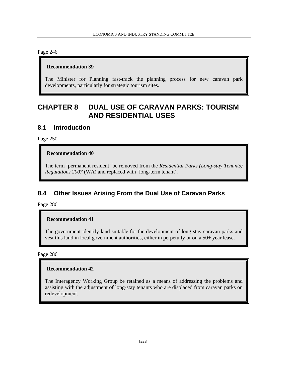## **Recommendation 39**

The Minister for Planning fast-track the planning process for new caravan park developments, particularly for strategic tourism sites.

## **CHAPTER 8 DUAL USE OF CARAVAN PARKS: TOURISM AND RESIDENTIAL USES**

## **8.1 Introduction**

Page 250

### **Recommendation 40**

The term 'permanent resident' be removed from the *Residential Parks (Long-stay Tenants) Regulations 2007* (WA) and replaced with 'long-term tenant'.

## **8.4 Other Issues Arising From the Dual Use of Caravan Parks**

Page 286

## **Recommendation 41**

The government identify land suitable for the development of long-stay caravan parks and vest this land in local government authorities, either in perpetuity or on a 50+ year lease.

Page 286

## **Recommendation 42**

The Interagency Working Group be retained as a means of addressing the problems and assisting with the adjustment of long-stay tenants who are displaced from caravan parks on redevelopment.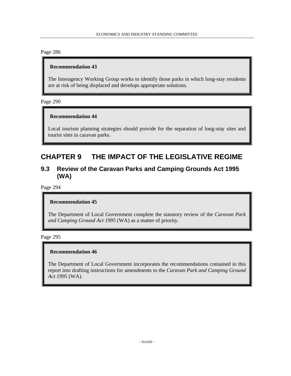### **Recommendation 43**

The Interagency Working Group works to identify those parks in which long-stay residents are at risk of being displaced and develops appropriate solutions.

#### Page 290

#### **Recommendation 44**

Local tourism planning strategies should provide for the separation of long-stay sites and tourist sites in caravan parks.

## **CHAPTER 9 THE IMPACT OF THE LEGISLATIVE REGIME**

## **9.3 Review of the Caravan Parks and Camping Grounds Act 1995 (WA)**

Page 294

#### **Recommendation 45**

The Department of Local Government complete the statutory review of the *Caravan Park and Camping Ground Act 1995* (WA) as a matter of priority.

#### Page 295

#### **Recommendation 46**

The Department of Local Government incorporates the recommendations contained in this report into drafting instructions for amendments to the *Caravan Park and Camping Ground Act 1995* (WA).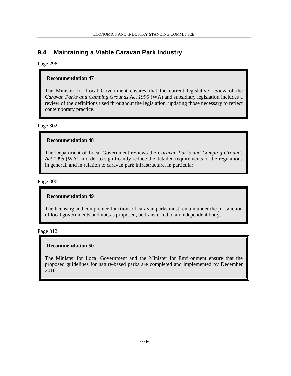## **9.4 Maintaining a Viable Caravan Park Industry**

### Page 296

### **Recommendation 47**

The Minister for Local Government ensures that the current legislative review of the *Caravan Parks and Camping Grounds Act 1995* (WA) and subsidiary legislation includes a review of the definitions used throughout the legislation, updating those necessary to reflect contemporary practice.

Page 302

#### **Recommendation 48**

The Department of Local Government reviews the *Caravan Parks and Camping Grounds Act 1995* (WA) in order to significantly reduce the detailed requirements of the regulations in general, and in relation to caravan park infrastructure, in particular.

Page 306

#### **Recommendation 49**

The licensing and compliance functions of caravan parks must remain under the jurisdiction of local governments and not, as proposed, be transferred to an independent body.

#### Page 312

## **Recommendation 50**

The Minister for Local Government and the Minister for Environment ensure that the proposed guidelines for nature-based parks are completed and implemented by December 2010.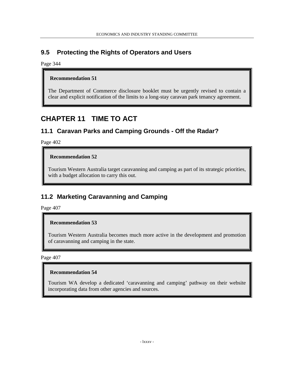## **9.5 Protecting the Rights of Operators and Users**

Page 344

## **Recommendation 51**

The Department of Commerce disclosure booklet must be urgently revised to contain a clear and explicit notification of the limits to a long-stay caravan park tenancy agreement.

# **CHAPTER 11 TIME TO ACT**

## **11.1 Caravan Parks and Camping Grounds - Off the Radar?**

Page 402

## **Recommendation 52**

Tourism Western Australia target caravanning and camping as part of its strategic priorities, with a budget allocation to carry this out.

## **11.2 Marketing Caravanning and Camping**

Page 407

## **Recommendation 53**

Tourism Western Australia becomes much more active in the development and promotion of caravanning and camping in the state.

Page 407

## **Recommendation 54**

Tourism WA develop a dedicated 'caravanning and camping' pathway on their website incorporating data from other agencies and sources.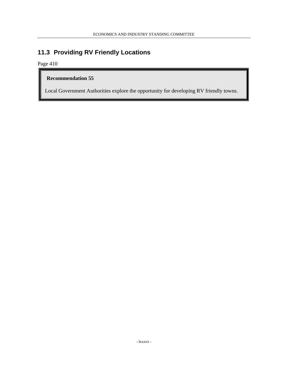## **11.3 Providing RV Friendly Locations**

Page 410

## **Recommendation 55**

Local Government Authorities explore the opportunity for developing RV friendly towns.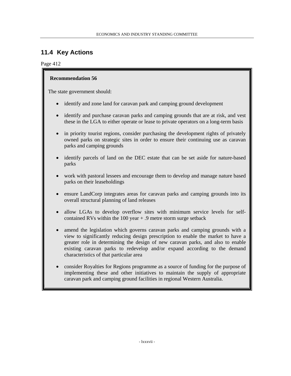## **11.4 Key Actions**

### Page 412

## **Recommendation 56**

The state government should:

- identify and zone land for caravan park and camping ground development
- identify and purchase caravan parks and camping grounds that are at risk, and vest these in the LGA to either operate or lease to private operators on a long-term basis
- in priority tourist regions, consider purchasing the development rights of privately owned parks on strategic sites in order to ensure their continuing use as caravan parks and camping grounds
- identify parcels of land on the DEC estate that can be set aside for nature-based parks
- work with pastoral lessees and encourage them to develop and manage nature based parks on their leaseholdings
- ensure LandCorp integrates areas for caravan parks and camping grounds into its overall structural planning of land releases
- allow LGAs to develop overflow sites with minimum service levels for selfcontained RVs within the 100 year + .9 metre storm surge setback
- amend the legislation which governs caravan parks and camping grounds with a view to significantly reducing design prescription to enable the market to have a greater role in determining the design of new caravan parks, and also to enable existing caravan parks to redevelop and/or expand according to the demand characteristics of that particular area
- consider Royalties for Regions programme as a source of funding for the purpose of implementing these and other initiatives to maintain the supply of appropriate caravan park and camping ground facilities in regional Western Australia.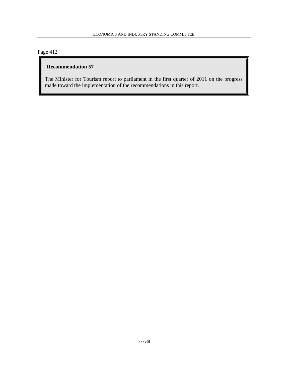## **Recommendation 57**

The Minister for Tourism report to parliament in the first quarter of 2011 on the progress made toward the implementation of the recommendations in this report.